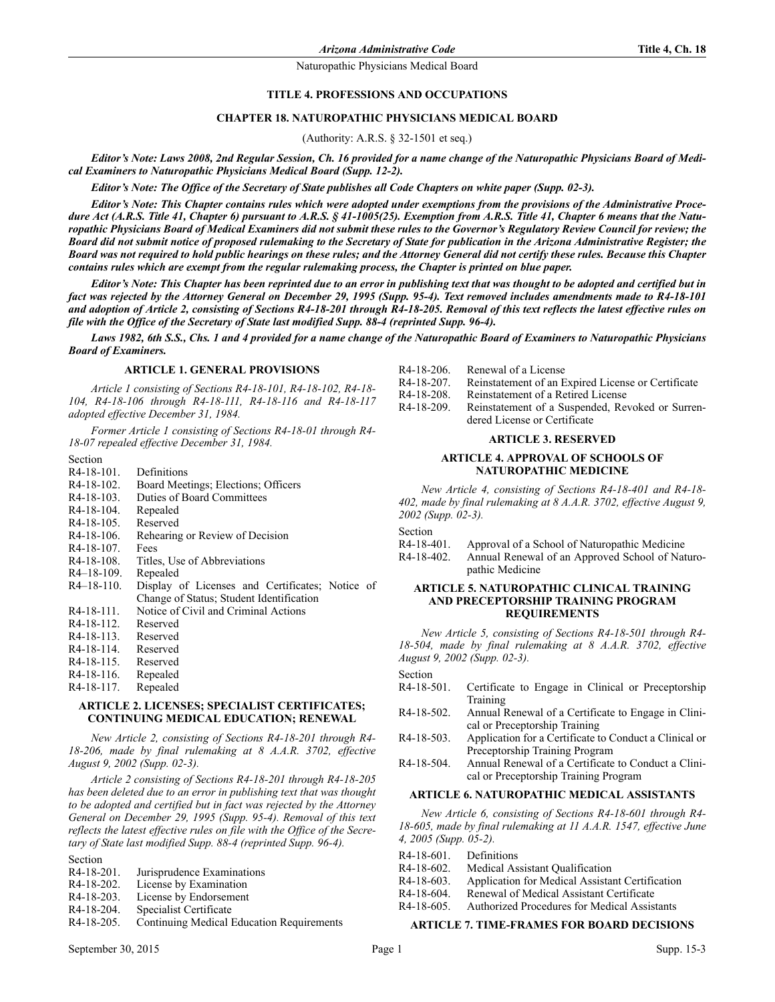### **TITLE 4. PROFESSIONS AND OCCUPATIONS**

### **CHAPTER 18. NATUROPATHIC PHYSICIANS MEDICAL BOARD**

(Authority: A.R.S. § 32-1501 et seq.)

*Editor's Note: Laws 2008, 2nd Regular Session, Ch. 16 provided for a name change of the Naturopathic Physicians Board of Medical Examiners to Naturopathic Physicians Medical Board (Supp. 12-2).*

*Editor's Note: The Office of the Secretary of State publishes all Code Chapters on white paper (Supp. 02-3).*

*Editor's Note: This Chapter contains rules which were adopted under exemptions from the provisions of the Administrative Proce*dure Act (A.R.S. Title 41, Chapter 6) pursuant to A.R.S. § 41-1005(25). Exemption from A.R.S. Title 41, Chapter 6 means that the Natu*ropathic Physicians Board of Medical Examiners did not submit these rules to the Governor's Regulatory Review Council for review; the Board did not submit notice of proposed rulemaking to the Secretary of State for publication in the Arizona Administrative Register; the Board was not required to hold public hearings on these rules; and the Attorney General did not certify these rules. Because this Chapter contains rules which are exempt from the regular rulemaking process, the Chapter is printed on blue paper.*

*Editor's Note: This Chapter has been reprinted due to an error in publishing text that was thought to be adopted and certified but in fact was rejected by the Attorney General on December 29, 1995 (Supp. 95-4). Text removed includes amendments made to R4-18-101 and adoption of Article 2, consisting of Sections R4-18-201 through R4-18-205. Removal of this text reflects the latest effective rules on file with the Office of the Secretary of State last modified Supp. 88-4 (reprinted Supp. 96-4).*

*Laws 1982, 6th S.S., Chs. 1 and 4 provided for a name change of the Naturopathic Board of Examiners to Naturopathic Physicians Board of Examiners.*

#### **ARTICLE 1. GENERAL PROVISIONS**

*Article 1 consisting of Sections R4-18-101, R4-18-102, R4-18- 104, R4-18-106 through R4-18-111, R4-18-116 and R4-18-117 adopted effective December 31, 1984.*

*Former Article 1 consisting of Sections R4-18-01 through R4- 18-07 repealed effective December 31, 1984.*

| R <sub>4</sub> -18-101. | Definitions                                     |
|-------------------------|-------------------------------------------------|
| $R4-18-102$ .           | Board Meetings; Elections; Officers             |
| R <sub>4</sub> -18-103. | Duties of Board Committees                      |
| R <sub>4</sub> -18-104. | Repealed                                        |
| $R4-18-105$ .           | Reserved                                        |
| R <sub>4</sub> -18-106. | Rehearing or Review of Decision                 |
| R <sub>4</sub> -18-107. | Fees                                            |
| R <sub>4</sub> -18-108. | Titles, Use of Abbreviations                    |
| $R4-18-109$ .           | Repealed                                        |
| $R4 - 18 - 110$ .       | Display of Licenses and Certificates; Notice of |
|                         | Change of Status; Student Identification        |
| $R4-18-111$ .           | Notice of Civil and Criminal Actions            |
| R <sub>4</sub> -18-112. | Reserved                                        |
| $R4 - 18 - 113$         | Reserved                                        |
| R <sub>4</sub> -18-114. | Reserved                                        |
| R <sub>4</sub> -18-115. | Reserved                                        |
| R <sub>4</sub> -18-116. | Repealed                                        |
| R <sub>4</sub> -18-117. | Repealed                                        |
|                         |                                                 |

### **ARTICLE 2. LICENSES; SPECIALIST CERTIFICATES; CONTINUING MEDICAL EDUCATION; RENEWAL**

*New Article 2, consisting of Sections R4-18-201 through R4- 18-206, made by final rulemaking at 8 A.A.R. 3702, effective August 9, 2002 (Supp. 02-3).*

*Article 2 consisting of Sections R4-18-201 through R4-18-205 has been deleted due to an error in publishing text that was thought to be adopted and certified but in fact was rejected by the Attorney General on December 29, 1995 (Supp. 95-4). Removal of this text reflects the latest effective rules on file with the Office of the Secretary of State last modified Supp. 88-4 (reprinted Supp. 96-4).*

Section

Section

- R4-18-202. License by Examination
- R4-18-203. License by Endorsement<br>R4-18-204. Specialist Certificate
- Specialist Certificate
- R4-18-205. Continuing Medical Education Requirements
- R4-18-206. Renewal of a License
- R4-18-207. Reinstatement of an Expired License or Certificate<br>R4-18-208. Reinstatement of a Retired License Reinstatement of a Retired License
- 
- R4-18-209. Reinstatement of a Suspended, Revoked or Surrendered License or Certificate

### **ARTICLE 3. RESERVED**

### **ARTICLE 4. APPROVAL OF SCHOOLS OF NATUROPATHIC MEDICINE**

*New Article 4, consisting of Sections R4-18-401 and R4-18- 402, made by final rulemaking at 8 A.A.R. 3702, effective August 9, 2002 (Supp. 02-3).*

Section

- R4-18-401. Approval of a School of Naturopathic Medicine
- R4-18-402. Annual Renewal of an Approved School of Naturopathic Medicine

#### **ARTICLE 5. NATUROPATHIC CLINICAL TRAINING AND PRECEPTORSHIP TRAINING PROGRAM REQUIREMENTS**

*New Article 5, consisting of Sections R4-18-501 through R4- 18-504, made by final rulemaking at 8 A.A.R. 3702, effective August 9, 2002 (Supp. 02-3).*

Section

- R4-18-501. Certificate to Engage in Clinical or Preceptorship Training
- R4-18-502. Annual Renewal of a Certificate to Engage in Clinical or Preceptorship Training
- R4-18-503. Application for a Certificate to Conduct a Clinical or Preceptorship Training Program
- R4-18-504. Annual Renewal of a Certificate to Conduct a Clinical or Preceptorship Training Program

### **ARTICLE 6. NATUROPATHIC MEDICAL ASSISTANTS**

*New Article 6, consisting of Sections R4-18-601 through R4- 18-605, made by final rulemaking at 11 A.A.R. 1547, effective June 4, 2005 (Supp. 05-2).*

- R4-18-601. Definitions
- R4-18-602. Medical Assistant Qualification
- R4-18-603. Application for Medical Assistant Certification
- R4-18-604. Renewal of Medical Assistant Certificate
- R4-18-605. Authorized Procedures for Medical Assistants

### **ARTICLE 7. TIME-FRAMES FOR BOARD DECISIONS**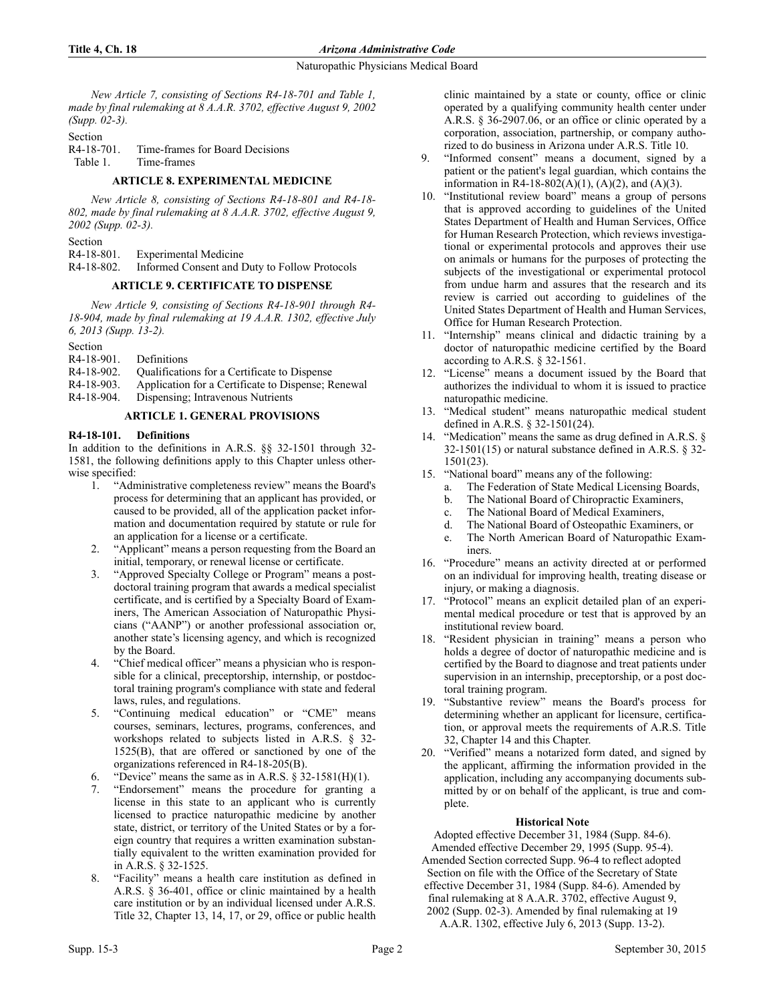*New Article 7, consisting of Sections R4-18-701 and Table 1, made by final rulemaking at 8 A.A.R. 3702, effective August 9, 2002 (Supp. 02-3).*

Section<br>R4-18-701. Time-frames for Board Decisions Table 1. Time-frames

## **ARTICLE 8. EXPERIMENTAL MEDICINE**

*New Article 8, consisting of Sections R4-18-801 and R4-18- 802, made by final rulemaking at 8 A.A.R. 3702, effective August 9, 2002 (Supp. 02-3).*

Section

R4-18-801. Experimental Medicine

R4-18-802. Informed Consent and Duty to Follow Protocols

# **ARTICLE 9. CERTIFICATE TO DISPENSE**

*New Article 9, consisting of Sections R4-18-901 through R4- 18-904, made by final rulemaking at 19 A.A.R. 1302, effective July 6, 2013 (Supp. 13-2).*

| Definitions                                        |
|----------------------------------------------------|
| Qualifications for a Certificate to Dispense       |
| Application for a Certificate to Dispense; Renewal |
|                                                    |

R4-18-904. Dispensing; Intravenous Nutrients

## **ARTICLE 1. GENERAL PROVISIONS**

### **R4-18-101. Definitions**

In addition to the definitions in A.R.S. §§ 32-1501 through 32- 1581, the following definitions apply to this Chapter unless otherwise specified:

- 1. "Administrative completeness review" means the Board's process for determining that an applicant has provided, or caused to be provided, all of the application packet information and documentation required by statute or rule for an application for a license or a certificate.
- 2. "Applicant" means a person requesting from the Board an initial, temporary, or renewal license or certificate.
- 3. "Approved Specialty College or Program" means a postdoctoral training program that awards a medical specialist certificate, and is certified by a Specialty Board of Examiners, The American Association of Naturopathic Physicians ("AANP") or another professional association or, another state's licensing agency, and which is recognized by the Board.
- 4. "Chief medical officer" means a physician who is responsible for a clinical, preceptorship, internship, or postdoctoral training program's compliance with state and federal laws, rules, and regulations.
- 5. "Continuing medical education" or "CME" means courses, seminars, lectures, programs, conferences, and workshops related to subjects listed in A.R.S. § 32- 1525(B), that are offered or sanctioned by one of the organizations referenced in R4-18-205(B).
- "Device" means the same as in A.R.S.  $\S$  32-1581(H)(1).
- 7. "Endorsement" means the procedure for granting a license in this state to an applicant who is currently licensed to practice naturopathic medicine by another state, district, or territory of the United States or by a foreign country that requires a written examination substantially equivalent to the written examination provided for in A.R.S. § 32-1525.
- 8. "Facility" means a health care institution as defined in A.R.S. § 36-401, office or clinic maintained by a health care institution or by an individual licensed under A.R.S. Title 32, Chapter 13, 14, 17, or 29, office or public health

clinic maintained by a state or county, office or clinic operated by a qualifying community health center under A.R.S. § 36-2907.06, or an office or clinic operated by a corporation, association, partnership, or company authorized to do business in Arizona under A.R.S. Title 10.

- 9. "Informed consent" means a document, signed by a patient or the patient's legal guardian, which contains the information in R4-18-802(A)(1), (A)(2), and (A)(3).
- 10. "Institutional review board" means a group of persons that is approved according to guidelines of the United States Department of Health and Human Services, Office for Human Research Protection, which reviews investigational or experimental protocols and approves their use on animals or humans for the purposes of protecting the subjects of the investigational or experimental protocol from undue harm and assures that the research and its review is carried out according to guidelines of the United States Department of Health and Human Services, Office for Human Research Protection.
- 11. "Internship" means clinical and didactic training by a doctor of naturopathic medicine certified by the Board according to A.R.S. § 32-1561.
- 12. "License" means a document issued by the Board that authorizes the individual to whom it is issued to practice naturopathic medicine.
- 13. "Medical student" means naturopathic medical student defined in A.R.S. § 32-1501(24).
- 14. "Medication" means the same as drug defined in A.R.S. § 32-1501(15) or natural substance defined in A.R.S. § 32- 1501(23).
- 15. "National board" means any of the following:
	- a. The Federation of State Medical Licensing Boards,
	- b. The National Board of Chiropractic Examiners,
	- c. The National Board of Medical Examiners,
	- d. The National Board of Osteopathic Examiners, or
	- e. The North American Board of Naturopathic Examiners.
- 16. "Procedure" means an activity directed at or performed on an individual for improving health, treating disease or injury, or making a diagnosis.
- 17. "Protocol" means an explicit detailed plan of an experimental medical procedure or test that is approved by an institutional review board.
- 18. "Resident physician in training" means a person who holds a degree of doctor of naturopathic medicine and is certified by the Board to diagnose and treat patients under supervision in an internship, preceptorship, or a post doctoral training program.
- 19. "Substantive review" means the Board's process for determining whether an applicant for licensure, certification, or approval meets the requirements of A.R.S. Title 32, Chapter 14 and this Chapter.
- 20. "Verified" means a notarized form dated, and signed by the applicant, affirming the information provided in the application, including any accompanying documents submitted by or on behalf of the applicant, is true and complete.

# **Historical Note**

Adopted effective December 31, 1984 (Supp. 84-6). Amended effective December 29, 1995 (Supp. 95-4). Amended Section corrected Supp. 96-4 to reflect adopted Section on file with the Office of the Secretary of State effective December 31, 1984 (Supp. 84-6). Amended by final rulemaking at 8 A.A.R. 3702, effective August 9, 2002 (Supp. 02-3). Amended by final rulemaking at 19 A.A.R. 1302, effective July 6, 2013 (Supp. 13-2).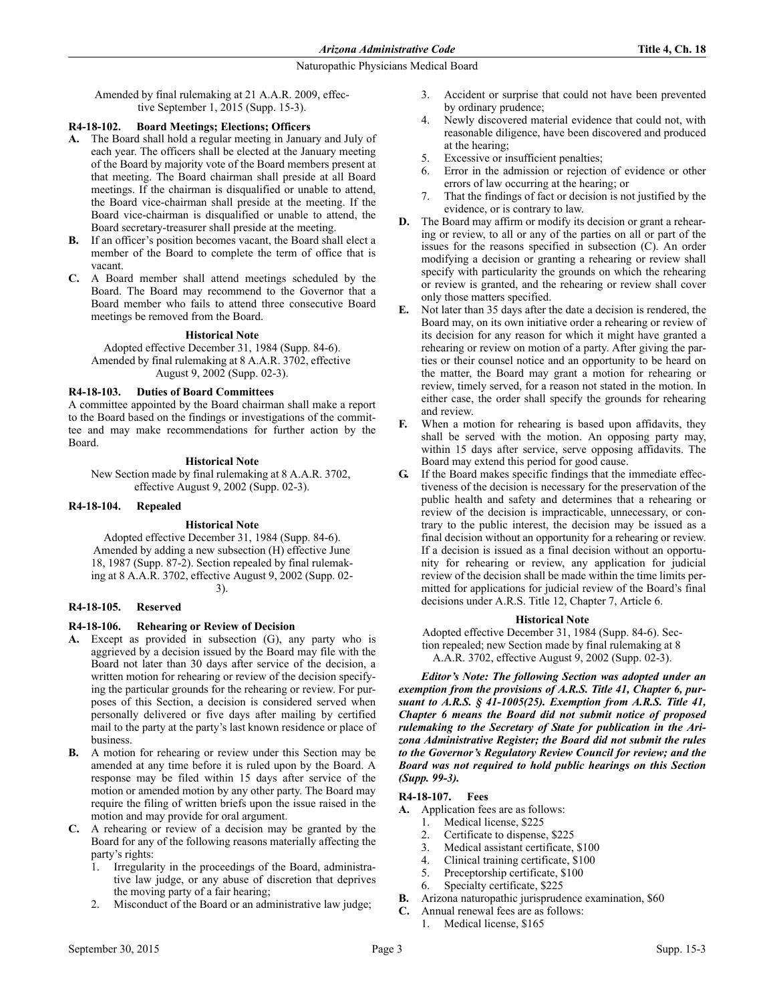Amended by final rulemaking at 21 A.A.R. 2009, effective September 1, 2015 (Supp. 15-3).

## **R4-18-102. Board Meetings; Elections; Officers**

- **A.** The Board shall hold a regular meeting in January and July of each year. The officers shall be elected at the January meeting of the Board by majority vote of the Board members present at that meeting. The Board chairman shall preside at all Board meetings. If the chairman is disqualified or unable to attend, the Board vice-chairman shall preside at the meeting. If the Board vice-chairman is disqualified or unable to attend, the Board secretary-treasurer shall preside at the meeting.
- **B.** If an officer's position becomes vacant, the Board shall elect a member of the Board to complete the term of office that is vacant.
- **C.** A Board member shall attend meetings scheduled by the Board. The Board may recommend to the Governor that a Board member who fails to attend three consecutive Board meetings be removed from the Board.

### **Historical Note**

Adopted effective December 31, 1984 (Supp. 84-6). Amended by final rulemaking at 8 A.A.R. 3702, effective August 9, 2002 (Supp. 02-3).

### **R4-18-103. Duties of Board Committees**

A committee appointed by the Board chairman shall make a report to the Board based on the findings or investigations of the committee and may make recommendations for further action by the Board.

### **Historical Note**

New Section made by final rulemaking at 8 A.A.R. 3702, effective August 9, 2002 (Supp. 02-3).

### **R4-18-104. Repealed**

### **Historical Note**

Adopted effective December 31, 1984 (Supp. 84-6). Amended by adding a new subsection (H) effective June 18, 1987 (Supp. 87-2). Section repealed by final rulemaking at 8 A.A.R. 3702, effective August 9, 2002 (Supp. 02- 3).

### **R4-18-105. Reserved**

# **R4-18-106. Rehearing or Review of Decision**

- **A.** Except as provided in subsection (G), any party who is aggrieved by a decision issued by the Board may file with the Board not later than 30 days after service of the decision, a written motion for rehearing or review of the decision specifying the particular grounds for the rehearing or review. For purposes of this Section, a decision is considered served when personally delivered or five days after mailing by certified mail to the party at the party's last known residence or place of business.
- **B.** A motion for rehearing or review under this Section may be amended at any time before it is ruled upon by the Board. A response may be filed within 15 days after service of the motion or amended motion by any other party. The Board may require the filing of written briefs upon the issue raised in the motion and may provide for oral argument.
- **C.** A rehearing or review of a decision may be granted by the Board for any of the following reasons materially affecting the party's rights:
	- 1. Irregularity in the proceedings of the Board, administrative law judge, or any abuse of discretion that deprives the moving party of a fair hearing;
	- 2. Misconduct of the Board or an administrative law judge;
- 3. Accident or surprise that could not have been prevented by ordinary prudence;
- 4. Newly discovered material evidence that could not, with reasonable diligence, have been discovered and produced at the hearing;
- 5. Excessive or insufficient penalties;
- 6. Error in the admission or rejection of evidence or other errors of law occurring at the hearing; or
- 7. That the findings of fact or decision is not justified by the evidence, or is contrary to law.
- **D.** The Board may affirm or modify its decision or grant a rehearing or review, to all or any of the parties on all or part of the issues for the reasons specified in subsection (C). An order modifying a decision or granting a rehearing or review shall specify with particularity the grounds on which the rehearing or review is granted, and the rehearing or review shall cover only those matters specified.
- **E.** Not later than 35 days after the date a decision is rendered, the Board may, on its own initiative order a rehearing or review of its decision for any reason for which it might have granted a rehearing or review on motion of a party. After giving the parties or their counsel notice and an opportunity to be heard on the matter, the Board may grant a motion for rehearing or review, timely served, for a reason not stated in the motion. In either case, the order shall specify the grounds for rehearing and review.
- **F.** When a motion for rehearing is based upon affidavits, they shall be served with the motion. An opposing party may, within 15 days after service, serve opposing affidavits. The Board may extend this period for good cause.
- **G.** If the Board makes specific findings that the immediate effectiveness of the decision is necessary for the preservation of the public health and safety and determines that a rehearing or review of the decision is impracticable, unnecessary, or contrary to the public interest, the decision may be issued as a final decision without an opportunity for a rehearing or review. If a decision is issued as a final decision without an opportunity for rehearing or review, any application for judicial review of the decision shall be made within the time limits permitted for applications for judicial review of the Board's final decisions under A.R.S. Title 12, Chapter 7, Article 6.

### **Historical Note**

Adopted effective December 31, 1984 (Supp. 84-6). Section repealed; new Section made by final rulemaking at 8 A.A.R. 3702, effective August 9, 2002 (Supp. 02-3).

*Editor's Note: The following Section was adopted under an exemption from the provisions of A.R.S. Title 41, Chapter 6, pursuant to A.R.S. § 41-1005(25). Exemption from A.R.S. Title 41, Chapter 6 means the Board did not submit notice of proposed rulemaking to the Secretary of State for publication in the Arizona Administrative Register; the Board did not submit the rules to the Governor's Regulatory Review Council for review; and the Board was not required to hold public hearings on this Section (Supp. 99-3).*

# **R4-18-107. Fees**

- **A.** Application fees are as follows:
	- 1. Medical license, \$225
	- 2. Certificate to dispense, \$225
	- 3. Medical assistant certificate, \$100
	- 4. Clinical training certificate, \$100
	- 5. Preceptorship certificate, \$100
	- 6. Specialty certificate, \$225
- **B.** Arizona naturopathic jurisprudence examination, \$60
- **C.** Annual renewal fees are as follows: 1. Medical license, \$165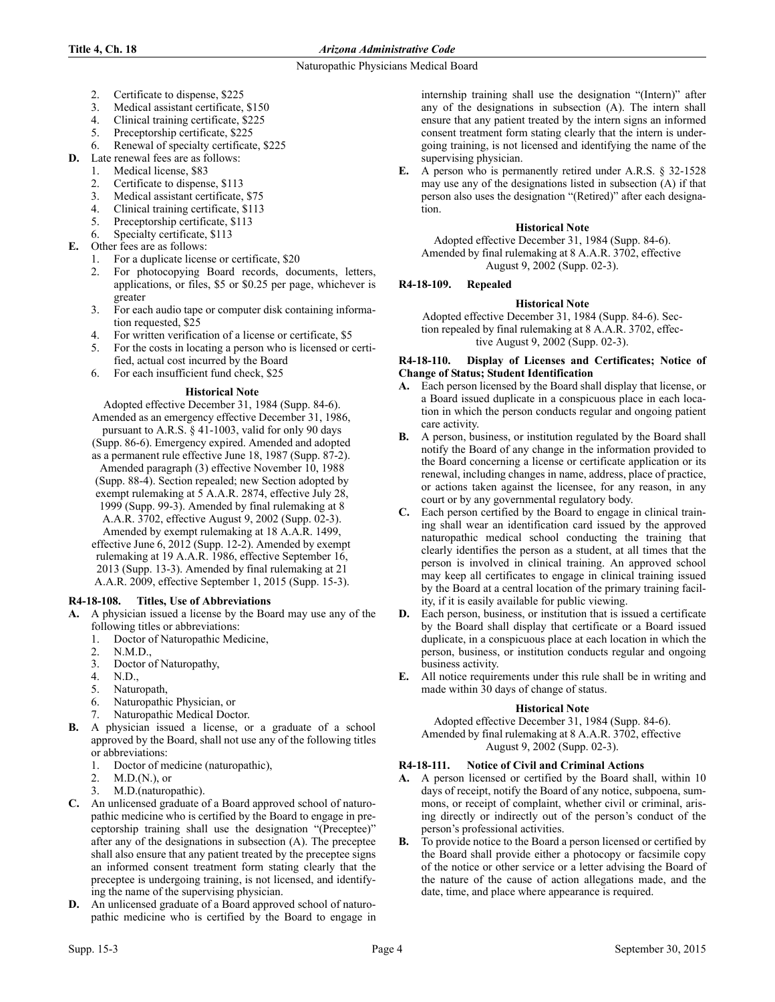## **Title 4, Ch. 18** *Arizona Administrative Code*

### Naturopathic Physicians Medical Board

- 2. Certificate to dispense, \$225
- 3. Medical assistant certificate, \$150
- 4. Clinical training certificate, \$225
- 5. Preceptorship certificate, \$225
- 6. Renewal of specialty certificate, \$225
- **D.** Late renewal fees are as follows:
	- 1. Medical license, \$83
	- 2. Certificate to dispense, \$113
	- 3. Medical assistant certificate, \$75
	- 4. Clinical training certificate, \$113<br>5. Precentorship certificate \$113
	- Preceptorship certificate, \$113
	- 6. Specialty certificate, \$113
- **E.** Other fees are as follows:
	- 1. For a duplicate license or certificate, \$20
	- 2. For photocopying Board records, documents, letters, applications, or files, \$5 or \$0.25 per page, whichever is greater
	- 3. For each audio tape or computer disk containing information requested, \$25
	- 4. For written verification of a license or certificate, \$5
	- 5. For the costs in locating a person who is licensed or certified, actual cost incurred by the Board
	- 6. For each insufficient fund check, \$25

### **Historical Note**

Adopted effective December 31, 1984 (Supp. 84-6). Amended as an emergency effective December 31, 1986, pursuant to A.R.S. § 41-1003, valid for only 90 days (Supp. 86-6). Emergency expired. Amended and adopted as a permanent rule effective June 18, 1987 (Supp. 87-2). Amended paragraph (3) effective November 10, 1988 (Supp. 88-4). Section repealed; new Section adopted by exempt rulemaking at 5 A.A.R. 2874, effective July 28, 1999 (Supp. 99-3). Amended by final rulemaking at 8 A.A.R. 3702, effective August 9, 2002 (Supp. 02-3). Amended by exempt rulemaking at 18 A.A.R. 1499, effective June 6, 2012 (Supp. 12-2). Amended by exempt rulemaking at 19 A.A.R. 1986, effective September 16, 2013 (Supp. 13-3). Amended by final rulemaking at 21 A.A.R. 2009, effective September 1, 2015 (Supp. 15-3).

# **R4-18-108. Titles, Use of Abbreviations**

- **A.** A physician issued a license by the Board may use any of the following titles or abbreviations:
	- 1. Doctor of Naturopathic Medicine,
	- 2. N.M.D.,
	- 3. Doctor of Naturopathy,
	- 4. N.D.,
	- 5. Naturopath,
	- 6. Naturopathic Physician, or
	- Naturopathic Medical Doctor.
- **B.** A physician issued a license, or a graduate of a school approved by the Board, shall not use any of the following titles or abbreviations:
	- 1. Doctor of medicine (naturopathic),
	- 2. M.D.(N.), or
	- 3. M.D.(naturopathic).
- **C.** An unlicensed graduate of a Board approved school of naturopathic medicine who is certified by the Board to engage in preceptorship training shall use the designation "(Preceptee)" after any of the designations in subsection (A). The preceptee shall also ensure that any patient treated by the preceptee signs an informed consent treatment form stating clearly that the preceptee is undergoing training, is not licensed, and identifying the name of the supervising physician.
- **D.** An unlicensed graduate of a Board approved school of naturopathic medicine who is certified by the Board to engage in

internship training shall use the designation "(Intern)" after any of the designations in subsection (A). The intern shall ensure that any patient treated by the intern signs an informed consent treatment form stating clearly that the intern is undergoing training, is not licensed and identifying the name of the supervising physician.

**E.** A person who is permanently retired under A.R.S. § 32-1528 may use any of the designations listed in subsection (A) if that person also uses the designation "(Retired)" after each designation.

## **Historical Note**

Adopted effective December 31, 1984 (Supp. 84-6). Amended by final rulemaking at 8 A.A.R. 3702, effective August 9, 2002 (Supp. 02-3).

# **R4-18-109. Repealed**

# **Historical Note**

Adopted effective December 31, 1984 (Supp. 84-6). Section repealed by final rulemaking at 8 A.A.R. 3702, effective August 9, 2002 (Supp. 02-3).

### **R4-18-110. Display of Licenses and Certificates; Notice of Change of Status; Student Identification**

- **A.** Each person licensed by the Board shall display that license, or a Board issued duplicate in a conspicuous place in each location in which the person conducts regular and ongoing patient care activity.
- **B.** A person, business, or institution regulated by the Board shall notify the Board of any change in the information provided to the Board concerning a license or certificate application or its renewal, including changes in name, address, place of practice, or actions taken against the licensee, for any reason, in any court or by any governmental regulatory body.
- **C.** Each person certified by the Board to engage in clinical training shall wear an identification card issued by the approved naturopathic medical school conducting the training that clearly identifies the person as a student, at all times that the person is involved in clinical training. An approved school may keep all certificates to engage in clinical training issued by the Board at a central location of the primary training facility, if it is easily available for public viewing.
- **D.** Each person, business, or institution that is issued a certificate by the Board shall display that certificate or a Board issued duplicate, in a conspicuous place at each location in which the person, business, or institution conducts regular and ongoing business activity.
- **E.** All notice requirements under this rule shall be in writing and made within 30 days of change of status.

### **Historical Note**

Adopted effective December 31, 1984 (Supp. 84-6). Amended by final rulemaking at 8 A.A.R. 3702, effective August 9, 2002 (Supp. 02-3).

### **R4-18-111. Notice of Civil and Criminal Actions**

- **A.** A person licensed or certified by the Board shall, within 10 days of receipt, notify the Board of any notice, subpoena, summons, or receipt of complaint, whether civil or criminal, arising directly or indirectly out of the person's conduct of the person's professional activities.
- **B.** To provide notice to the Board a person licensed or certified by the Board shall provide either a photocopy or facsimile copy of the notice or other service or a letter advising the Board of the nature of the cause of action allegations made, and the date, time, and place where appearance is required.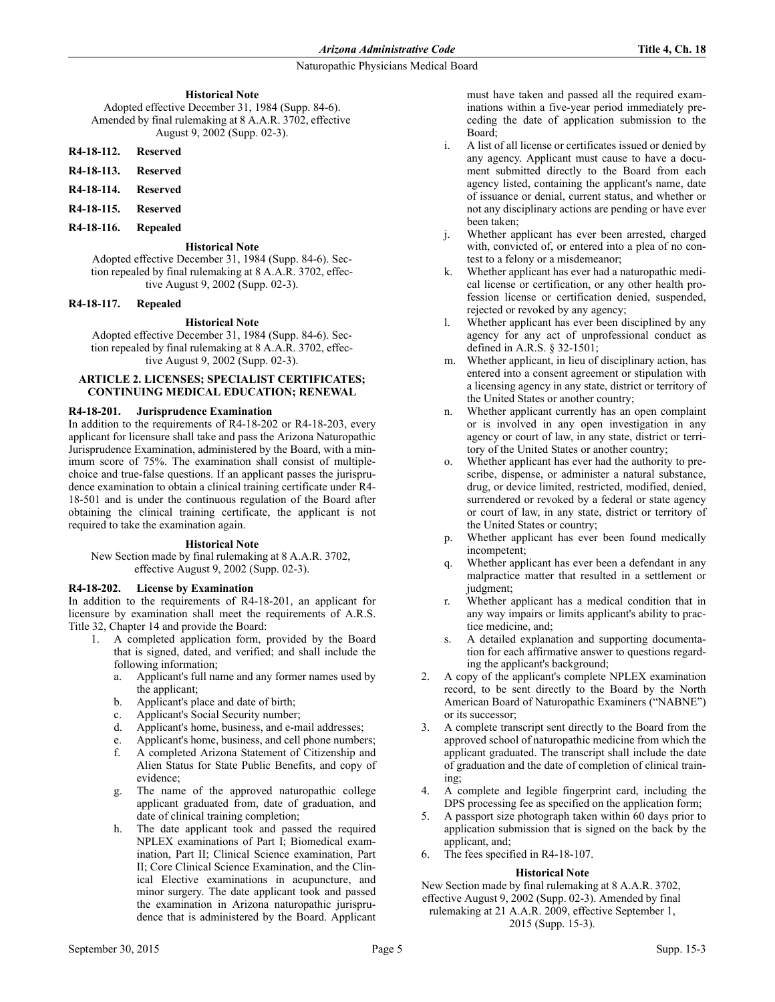**Historical Note** Adopted effective December 31, 1984 (Supp. 84-6). Amended by final rulemaking at 8 A.A.R. 3702, effective August 9, 2002 (Supp. 02-3).

# **R4-18-112. Reserved**

- **R4-18-113. Reserved**
- **R4-18-114. Reserved**
- **R4-18-115. Reserved**
- **R4-18-116. Repealed**

## **Historical Note**

Adopted effective December 31, 1984 (Supp. 84-6). Section repealed by final rulemaking at 8 A.A.R. 3702, effective August 9, 2002 (Supp. 02-3).

## **R4-18-117. Repealed**

# **Historical Note**

Adopted effective December 31, 1984 (Supp. 84-6). Section repealed by final rulemaking at 8 A.A.R. 3702, effective August 9, 2002 (Supp. 02-3).

### **ARTICLE 2. LICENSES; SPECIALIST CERTIFICATES; CONTINUING MEDICAL EDUCATION; RENEWAL**

## **R4-18-201. Jurisprudence Examination**

In addition to the requirements of R4-18-202 or R4-18-203, every applicant for licensure shall take and pass the Arizona Naturopathic Jurisprudence Examination, administered by the Board, with a minimum score of 75%. The examination shall consist of multiplechoice and true-false questions. If an applicant passes the jurisprudence examination to obtain a clinical training certificate under R4- 18-501 and is under the continuous regulation of the Board after obtaining the clinical training certificate, the applicant is not required to take the examination again.

### **Historical Note**

New Section made by final rulemaking at 8 A.A.R. 3702, effective August 9, 2002 (Supp. 02-3).

# **R4-18-202. License by Examination**

In addition to the requirements of R4-18-201, an applicant for licensure by examination shall meet the requirements of A.R.S. Title 32, Chapter 14 and provide the Board:

- 1. A completed application form, provided by the Board that is signed, dated, and verified; and shall include the following information;
	- a. Applicant's full name and any former names used by the applicant;
	- b. Applicant's place and date of birth;
	- c. Applicant's Social Security number;
	- d. Applicant's home, business, and e-mail addresses;
	- e. Applicant's home, business, and cell phone numbers;
	- f. A completed Arizona Statement of Citizenship and Alien Status for State Public Benefits, and copy of evidence;
	- g. The name of the approved naturopathic college applicant graduated from, date of graduation, and date of clinical training completion;
	- h. The date applicant took and passed the required NPLEX examinations of Part I; Biomedical examination, Part II; Clinical Science examination, Part II; Core Clinical Science Examination, and the Clinical Elective examinations in acupuncture, and minor surgery. The date applicant took and passed the examination in Arizona naturopathic jurisprudence that is administered by the Board. Applicant

must have taken and passed all the required examinations within a five-year period immediately preceding the date of application submission to the Board;

- i. A list of all license or certificates issued or denied by any agency. Applicant must cause to have a document submitted directly to the Board from each agency listed, containing the applicant's name, date of issuance or denial, current status, and whether or not any disciplinary actions are pending or have ever been taken;
- j. Whether applicant has ever been arrested, charged with, convicted of, or entered into a plea of no contest to a felony or a misdemeanor;
- k. Whether applicant has ever had a naturopathic medical license or certification, or any other health profession license or certification denied, suspended, rejected or revoked by any agency;
- l. Whether applicant has ever been disciplined by any agency for any act of unprofessional conduct as defined in A.R.S. § 32-1501;
- m. Whether applicant, in lieu of disciplinary action, has entered into a consent agreement or stipulation with a licensing agency in any state, district or territory of the United States or another country;
- n. Whether applicant currently has an open complaint or is involved in any open investigation in any agency or court of law, in any state, district or territory of the United States or another country;
- o. Whether applicant has ever had the authority to prescribe, dispense, or administer a natural substance, drug, or device limited, restricted, modified, denied, surrendered or revoked by a federal or state agency or court of law, in any state, district or territory of the United States or country;
- p. Whether applicant has ever been found medically incompetent;
- Whether applicant has ever been a defendant in any malpractice matter that resulted in a settlement or judgment;
- r. Whether applicant has a medical condition that in any way impairs or limits applicant's ability to practice medicine, and;
- s. A detailed explanation and supporting documentation for each affirmative answer to questions regarding the applicant's background;
- 2. A copy of the applicant's complete NPLEX examination record, to be sent directly to the Board by the North American Board of Naturopathic Examiners ("NABNE") or its successor;
- 3. A complete transcript sent directly to the Board from the approved school of naturopathic medicine from which the applicant graduated. The transcript shall include the date of graduation and the date of completion of clinical training;
- 4. A complete and legible fingerprint card, including the DPS processing fee as specified on the application form;
- 5. A passport size photograph taken within 60 days prior to application submission that is signed on the back by the applicant, and;
- 6. The fees specified in R4-18-107.

# **Historical Note**

New Section made by final rulemaking at 8 A.A.R. 3702, effective August 9, 2002 (Supp. 02-3). Amended by final rulemaking at 21 A.A.R. 2009, effective September 1, 2015 (Supp. 15-3).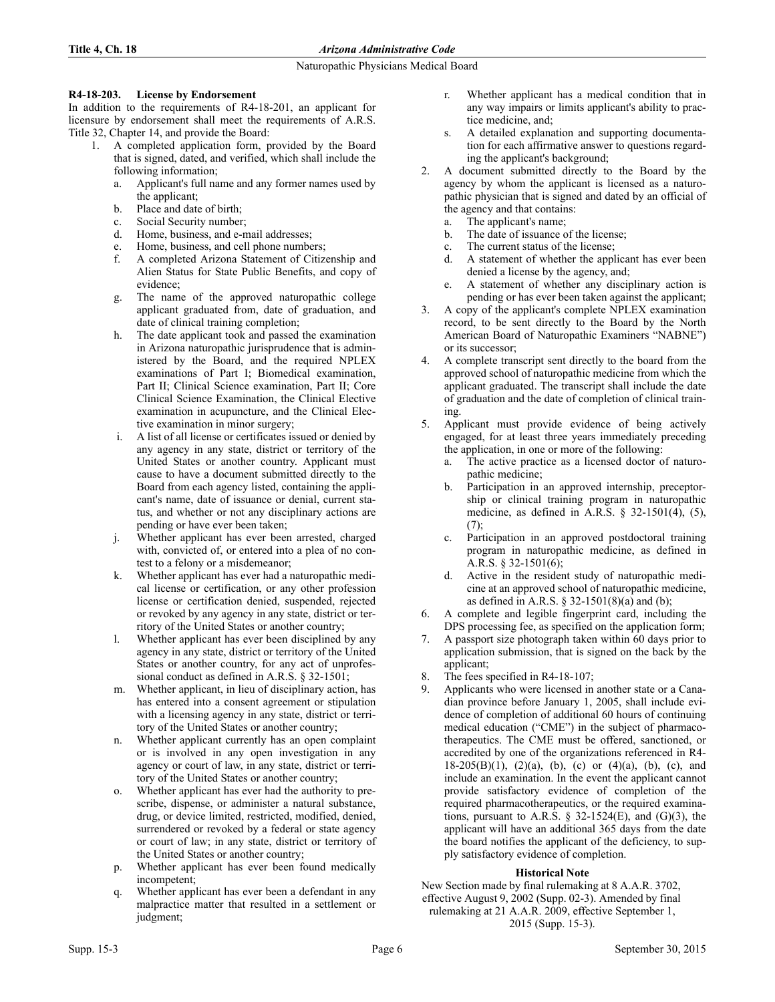## **R4-18-203. License by Endorsement**

In addition to the requirements of R4-18-201, an applicant for licensure by endorsement shall meet the requirements of A.R.S. Title 32, Chapter 14, and provide the Board:

- 1. A completed application form, provided by the Board that is signed, dated, and verified, which shall include the following information;
	- a. Applicant's full name and any former names used by the applicant;
	- b. Place and date of birth;
	- c. Social Security number;
	- d. Home, business, and e-mail addresses;
	- e. Home, business, and cell phone numbers;
	- f. A completed Arizona Statement of Citizenship and Alien Status for State Public Benefits, and copy of evidence;
	- g. The name of the approved naturopathic college applicant graduated from, date of graduation, and date of clinical training completion;
	- h. The date applicant took and passed the examination in Arizona naturopathic jurisprudence that is administered by the Board, and the required NPLEX examinations of Part I; Biomedical examination, Part II; Clinical Science examination, Part II; Core Clinical Science Examination, the Clinical Elective examination in acupuncture, and the Clinical Elective examination in minor surgery;
	- i. A list of all license or certificates issued or denied by any agency in any state, district or territory of the United States or another country. Applicant must cause to have a document submitted directly to the Board from each agency listed, containing the applicant's name, date of issuance or denial, current status, and whether or not any disciplinary actions are pending or have ever been taken;
	- j. Whether applicant has ever been arrested, charged with, convicted of, or entered into a plea of no contest to a felony or a misdemeanor;
	- k. Whether applicant has ever had a naturopathic medical license or certification, or any other profession license or certification denied, suspended, rejected or revoked by any agency in any state, district or territory of the United States or another country;
	- l. Whether applicant has ever been disciplined by any agency in any state, district or territory of the United States or another country, for any act of unprofessional conduct as defined in A.R.S. § 32-1501;
	- m. Whether applicant, in lieu of disciplinary action, has has entered into a consent agreement or stipulation with a licensing agency in any state, district or territory of the United States or another country;
	- n. Whether applicant currently has an open complaint or is involved in any open investigation in any agency or court of law, in any state, district or territory of the United States or another country;
	- o. Whether applicant has ever had the authority to prescribe, dispense, or administer a natural substance, drug, or device limited, restricted, modified, denied, surrendered or revoked by a federal or state agency or court of law; in any state, district or territory of the United States or another country;
	- p. Whether applicant has ever been found medically incompetent;
	- q. Whether applicant has ever been a defendant in any malpractice matter that resulted in a settlement or judgment;
- r. Whether applicant has a medical condition that in any way impairs or limits applicant's ability to practice medicine, and;
- s. A detailed explanation and supporting documentation for each affirmative answer to questions regarding the applicant's background;
- 2. A document submitted directly to the Board by the agency by whom the applicant is licensed as a naturopathic physician that is signed and dated by an official of the agency and that contains:
	- a. The applicant's name;
	- b. The date of issuance of the license;
	- c. The current status of the license;
	- d. A statement of whether the applicant has ever been denied a license by the agency, and;
	- e. A statement of whether any disciplinary action is pending or has ever been taken against the applicant;
- 3. A copy of the applicant's complete NPLEX examination record, to be sent directly to the Board by the North American Board of Naturopathic Examiners "NABNE") or its successor;
- 4. A complete transcript sent directly to the board from the approved school of naturopathic medicine from which the applicant graduated. The transcript shall include the date of graduation and the date of completion of clinical training.
- 5. Applicant must provide evidence of being actively engaged, for at least three years immediately preceding the application, in one or more of the following:
	- a. The active practice as a licensed doctor of naturopathic medicine;
	- b. Participation in an approved internship, preceptorship or clinical training program in naturopathic medicine, as defined in A.R.S. § 32-1501(4), (5),  $(7):$
	- c. Participation in an approved postdoctoral training program in naturopathic medicine, as defined in A.R.S. § 32-1501(6);
	- d. Active in the resident study of naturopathic medicine at an approved school of naturopathic medicine, as defined in A.R.S. § 32-1501(8)(a) and (b);
- 6. A complete and legible fingerprint card, including the DPS processing fee, as specified on the application form;
- 7. A passport size photograph taken within 60 days prior to application submission, that is signed on the back by the applicant;
- 8. The fees specified in R4-18-107;
- 9. Applicants who were licensed in another state or a Canadian province before January 1, 2005, shall include evidence of completion of additional 60 hours of continuing medical education ("CME") in the subject of pharmacotherapeutics. The CME must be offered, sanctioned, or accredited by one of the organizations referenced in R4- 18-205(B)(1), (2)(a), (b), (c) or (4)(a), (b), (c), and include an examination. In the event the applicant cannot provide satisfactory evidence of completion of the required pharmacotherapeutics, or the required examinations, pursuant to A.R.S.  $\S$  32-1524(E), and (G)(3), the applicant will have an additional 365 days from the date the board notifies the applicant of the deficiency, to supply satisfactory evidence of completion.

# **Historical Note**

New Section made by final rulemaking at 8 A.A.R. 3702, effective August 9, 2002 (Supp. 02-3). Amended by final rulemaking at 21 A.A.R. 2009, effective September 1, 2015 (Supp. 15-3).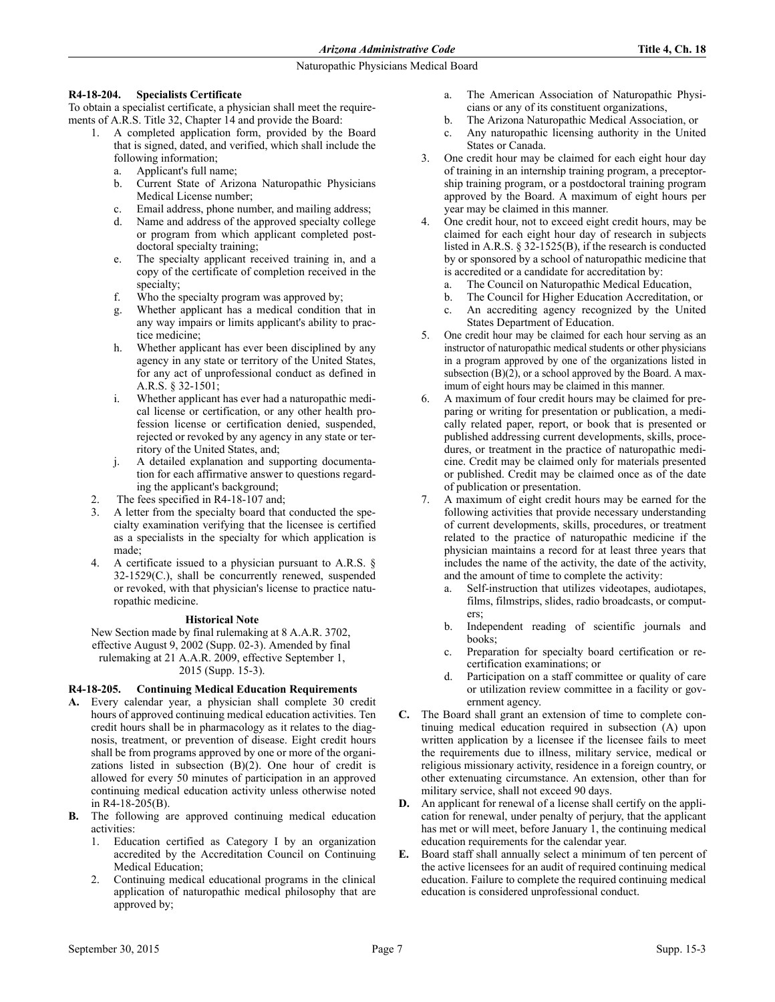# **R4-18-204. Specialists Certificate**

To obtain a specialist certificate, a physician shall meet the requirements of A.R.S. Title 32, Chapter 14 and provide the Board:

- 1. A completed application form, provided by the Board that is signed, dated, and verified, which shall include the following information;
	- a. Applicant's full name;
	- b. Current State of Arizona Naturopathic Physicians Medical License number;
	- c. Email address, phone number, and mailing address;
	- d. Name and address of the approved specialty college or program from which applicant completed postdoctoral specialty training;
	- e. The specialty applicant received training in, and a copy of the certificate of completion received in the specialty:
	- f. Who the specialty program was approved by;
	- g. Whether applicant has a medical condition that in any way impairs or limits applicant's ability to practice medicine;
	- h. Whether applicant has ever been disciplined by any agency in any state or territory of the United States, for any act of unprofessional conduct as defined in A.R.S. § 32-1501;
	- i. Whether applicant has ever had a naturopathic medical license or certification, or any other health profession license or certification denied, suspended, rejected or revoked by any agency in any state or territory of the United States, and;
	- j. A detailed explanation and supporting documentation for each affirmative answer to questions regarding the applicant's background;
- The fees specified in R4-18-107 and;
- 3. A letter from the specialty board that conducted the specialty examination verifying that the licensee is certified as a specialists in the specialty for which application is made;
- 4. A certificate issued to a physician pursuant to A.R.S. § 32-1529(C.), shall be concurrently renewed, suspended or revoked, with that physician's license to practice naturopathic medicine.

# **Historical Note**

New Section made by final rulemaking at 8 A.A.R. 3702, effective August 9, 2002 (Supp. 02-3). Amended by final rulemaking at 21 A.A.R. 2009, effective September 1, 2015 (Supp. 15-3).

# **R4-18-205. Continuing Medical Education Requirements**

- **A.** Every calendar year, a physician shall complete 30 credit hours of approved continuing medical education activities. Ten credit hours shall be in pharmacology as it relates to the diagnosis, treatment, or prevention of disease. Eight credit hours shall be from programs approved by one or more of the organizations listed in subsection (B)(2). One hour of credit is allowed for every 50 minutes of participation in an approved continuing medical education activity unless otherwise noted in R4-18-205(B).
- **B.** The following are approved continuing medical education activities:
	- 1. Education certified as Category I by an organization accredited by the Accreditation Council on Continuing Medical Education;
	- 2. Continuing medical educational programs in the clinical application of naturopathic medical philosophy that are approved by;
- a. The American Association of Naturopathic Physicians or any of its constituent organizations,
- b. The Arizona Naturopathic Medical Association, or
- c. Any naturopathic licensing authority in the United States or Canada.
- 3. One credit hour may be claimed for each eight hour day of training in an internship training program, a preceptorship training program, or a postdoctoral training program approved by the Board. A maximum of eight hours per year may be claimed in this manner.
- 4. One credit hour, not to exceed eight credit hours, may be claimed for each eight hour day of research in subjects listed in A.R.S. § 32-1525(B), if the research is conducted by or sponsored by a school of naturopathic medicine that is accredited or a candidate for accreditation by:
	- a. The Council on Naturopathic Medical Education,
	- b. The Council for Higher Education Accreditation, or
	- c. An accrediting agency recognized by the United States Department of Education.
- 5. One credit hour may be claimed for each hour serving as an instructor of naturopathic medical students or other physicians in a program approved by one of the organizations listed in subsection  $(B)(2)$ , or a school approved by the Board. A maximum of eight hours may be claimed in this manner.
- 6. A maximum of four credit hours may be claimed for preparing or writing for presentation or publication, a medically related paper, report, or book that is presented or published addressing current developments, skills, procedures, or treatment in the practice of naturopathic medicine. Credit may be claimed only for materials presented or published. Credit may be claimed once as of the date of publication or presentation.
- 7. A maximum of eight credit hours may be earned for the following activities that provide necessary understanding of current developments, skills, procedures, or treatment related to the practice of naturopathic medicine if the physician maintains a record for at least three years that includes the name of the activity, the date of the activity, and the amount of time to complete the activity:
	- a. Self-instruction that utilizes videotapes, audiotapes, films, filmstrips, slides, radio broadcasts, or computers;
	- b. Independent reading of scientific journals and books;
	- c. Preparation for specialty board certification or recertification examinations; or
	- d. Participation on a staff committee or quality of care or utilization review committee in a facility or government agency.
- **C.** The Board shall grant an extension of time to complete continuing medical education required in subsection (A) upon written application by a licensee if the licensee fails to meet the requirements due to illness, military service, medical or religious missionary activity, residence in a foreign country, or other extenuating circumstance. An extension, other than for military service, shall not exceed 90 days.
- **D.** An applicant for renewal of a license shall certify on the application for renewal, under penalty of perjury, that the applicant has met or will meet, before January 1, the continuing medical education requirements for the calendar year.
- **E.** Board staff shall annually select a minimum of ten percent of the active licensees for an audit of required continuing medical education. Failure to complete the required continuing medical education is considered unprofessional conduct.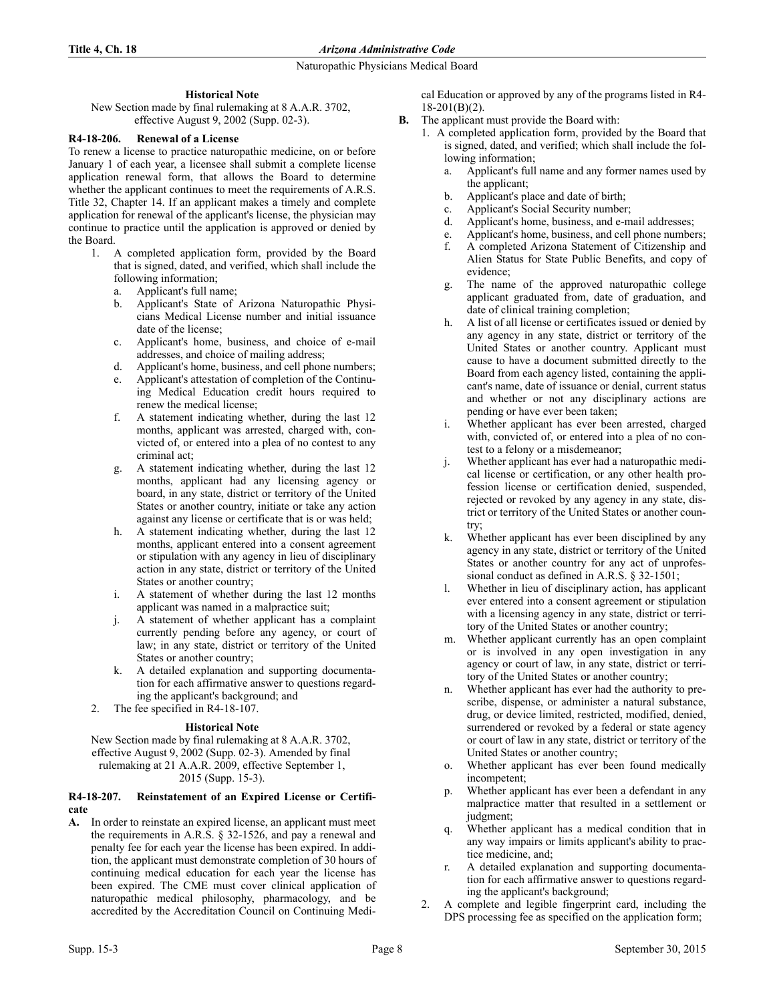## **Historical Note**

New Section made by final rulemaking at 8 A.A.R. 3702, effective August 9, 2002 (Supp. 02-3).

## **R4-18-206. Renewal of a License**

To renew a license to practice naturopathic medicine, on or before January 1 of each year, a licensee shall submit a complete license application renewal form, that allows the Board to determine whether the applicant continues to meet the requirements of A.R.S. Title 32, Chapter 14. If an applicant makes a timely and complete application for renewal of the applicant's license, the physician may continue to practice until the application is approved or denied by the Board.

- 1. A completed application form, provided by the Board that is signed, dated, and verified, which shall include the following information;
	- a. Applicant's full name;
	- b. Applicant's State of Arizona Naturopathic Physicians Medical License number and initial issuance date of the license;
	- c. Applicant's home, business, and choice of e-mail addresses, and choice of mailing address;
	- d. Applicant's home, business, and cell phone numbers;
	- Applicant's attestation of completion of the Continuing Medical Education credit hours required to renew the medical license;
	- f. A statement indicating whether, during the last 12 months, applicant was arrested, charged with, convicted of, or entered into a plea of no contest to any criminal act;
	- g. A statement indicating whether, during the last 12 months, applicant had any licensing agency or board, in any state, district or territory of the United States or another country, initiate or take any action against any license or certificate that is or was held;
	- h. A statement indicating whether, during the last 12 months, applicant entered into a consent agreement or stipulation with any agency in lieu of disciplinary action in any state, district or territory of the United States or another country;
	- i. A statement of whether during the last 12 months applicant was named in a malpractice suit;
	- A statement of whether applicant has a complaint currently pending before any agency, or court of law; in any state, district or territory of the United States or another country;
	- k. A detailed explanation and supporting documentation for each affirmative answer to questions regarding the applicant's background; and
- 2. The fee specified in R4-18-107.

### **Historical Note**

New Section made by final rulemaking at 8 A.A.R. 3702, effective August 9, 2002 (Supp. 02-3). Amended by final rulemaking at 21 A.A.R. 2009, effective September 1, 2015 (Supp. 15-3).

### **R4-18-207. Reinstatement of an Expired License or Certificate**

**A.** In order to reinstate an expired license, an applicant must meet the requirements in A.R.S. § 32-1526, and pay a renewal and penalty fee for each year the license has been expired. In addition, the applicant must demonstrate completion of 30 hours of continuing medical education for each year the license has been expired. The CME must cover clinical application of naturopathic medical philosophy, pharmacology, and be accredited by the Accreditation Council on Continuing Medical Education or approved by any of the programs listed in R4-  $18-201(B)(2)$ .

- **B.** The applicant must provide the Board with:
	- 1. A completed application form, provided by the Board that is signed, dated, and verified; which shall include the following information;
		- a. Applicant's full name and any former names used by the applicant;
		- b. Applicant's place and date of birth;
		- c. Applicant's Social Security number;
		- d. Applicant's home, business, and e-mail addresses;
		- e. Applicant's home, business, and cell phone numbers;
		- f. A completed Arizona Statement of Citizenship and Alien Status for State Public Benefits, and copy of evidence;
		- g. The name of the approved naturopathic college applicant graduated from, date of graduation, and date of clinical training completion;
		- h. A list of all license or certificates issued or denied by any agency in any state, district or territory of the United States or another country. Applicant must cause to have a document submitted directly to the Board from each agency listed, containing the applicant's name, date of issuance or denial, current status and whether or not any disciplinary actions are pending or have ever been taken;
		- i. Whether applicant has ever been arrested, charged with, convicted of, or entered into a plea of no contest to a felony or a misdemeanor;
		- j. Whether applicant has ever had a naturopathic medical license or certification, or any other health profession license or certification denied, suspended, rejected or revoked by any agency in any state, district or territory of the United States or another country;
		- k. Whether applicant has ever been disciplined by any agency in any state, district or territory of the United States or another country for any act of unprofessional conduct as defined in A.R.S. § 32-1501;
		- l. Whether in lieu of disciplinary action, has applicant ever entered into a consent agreement or stipulation with a licensing agency in any state, district or territory of the United States or another country;
		- m. Whether applicant currently has an open complaint or is involved in any open investigation in any agency or court of law, in any state, district or territory of the United States or another country;
		- n. Whether applicant has ever had the authority to prescribe, dispense, or administer a natural substance, drug, or device limited, restricted, modified, denied, surrendered or revoked by a federal or state agency or court of law in any state, district or territory of the United States or another country;
		- o. Whether applicant has ever been found medically incompetent;
		- p. Whether applicant has ever been a defendant in any malpractice matter that resulted in a settlement or judgment;
		- q. Whether applicant has a medical condition that in any way impairs or limits applicant's ability to practice medicine, and;
		- r. A detailed explanation and supporting documentation for each affirmative answer to questions regarding the applicant's background;
	- 2. A complete and legible fingerprint card, including the DPS processing fee as specified on the application form;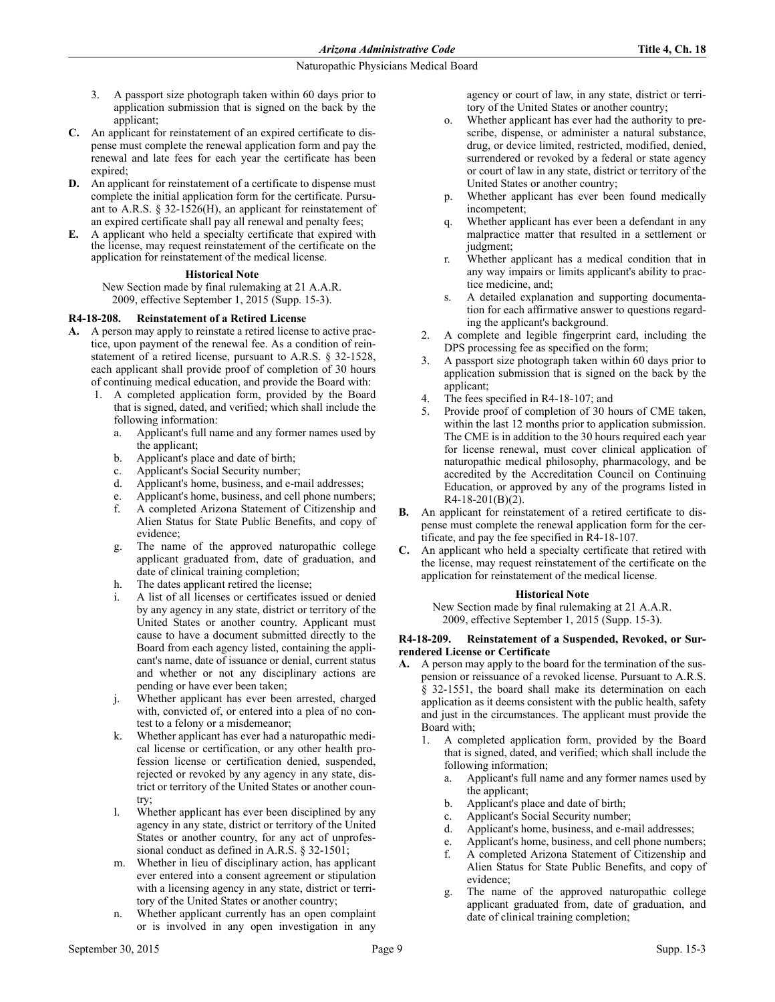- 3. A passport size photograph taken within 60 days prior to application submission that is signed on the back by the applicant;
- **C.** An applicant for reinstatement of an expired certificate to dispense must complete the renewal application form and pay the renewal and late fees for each year the certificate has been expired;
- **D.** An applicant for reinstatement of a certificate to dispense must complete the initial application form for the certificate. Pursuant to A.R.S. § 32-1526(H), an applicant for reinstatement of an expired certificate shall pay all renewal and penalty fees;
- **E.** A applicant who held a specialty certificate that expired with the license, may request reinstatement of the certificate on the application for reinstatement of the medical license.

### **Historical Note**

New Section made by final rulemaking at 21 A.A.R. 2009, effective September 1, 2015 (Supp. 15-3).

## **R4-18-208. Reinstatement of a Retired License**

- **A.** A person may apply to reinstate a retired license to active practice, upon payment of the renewal fee. As a condition of reinstatement of a retired license, pursuant to A.R.S. § 32-1528, each applicant shall provide proof of completion of 30 hours of continuing medical education, and provide the Board with:
	- 1. A completed application form, provided by the Board that is signed, dated, and verified; which shall include the following information:
		- a. Applicant's full name and any former names used by the applicant;
		- b. Applicant's place and date of birth;
		- c. Applicant's Social Security number;
		- d. Applicant's home, business, and e-mail addresses;
		- e. Applicant's home, business, and cell phone numbers;
		- f. A completed Arizona Statement of Citizenship and Alien Status for State Public Benefits, and copy of evidence;
		- g. The name of the approved naturopathic college applicant graduated from, date of graduation, and date of clinical training completion;
		- h. The dates applicant retired the license;
		- i. A list of all licenses or certificates issued or denied by any agency in any state, district or territory of the United States or another country. Applicant must cause to have a document submitted directly to the Board from each agency listed, containing the applicant's name, date of issuance or denial, current status and whether or not any disciplinary actions are pending or have ever been taken;
		- j. Whether applicant has ever been arrested, charged with, convicted of, or entered into a plea of no contest to a felony or a misdemeanor;
		- k. Whether applicant has ever had a naturopathic medical license or certification, or any other health profession license or certification denied, suspended, rejected or revoked by any agency in any state, district or territory of the United States or another country;
		- l. Whether applicant has ever been disciplined by any agency in any state, district or territory of the United States or another country, for any act of unprofessional conduct as defined in A.R.S. § 32-1501;
		- m. Whether in lieu of disciplinary action, has applicant ever entered into a consent agreement or stipulation with a licensing agency in any state, district or territory of the United States or another country;
		- n. Whether applicant currently has an open complaint or is involved in any open investigation in any

agency or court of law, in any state, district or territory of the United States or another country;

- o. Whether applicant has ever had the authority to prescribe, dispense, or administer a natural substance, drug, or device limited, restricted, modified, denied, surrendered or revoked by a federal or state agency or court of law in any state, district or territory of the United States or another country;
- p. Whether applicant has ever been found medically incompetent;
- q. Whether applicant has ever been a defendant in any malpractice matter that resulted in a settlement or judgment;
- r. Whether applicant has a medical condition that in any way impairs or limits applicant's ability to practice medicine, and;
- s. A detailed explanation and supporting documentation for each affirmative answer to questions regarding the applicant's background.
- 2. A complete and legible fingerprint card, including the DPS processing fee as specified on the form;
- 3. A passport size photograph taken within 60 days prior to application submission that is signed on the back by the applicant;
- 4. The fees specified in R4-18-107; and
- Provide proof of completion of 30 hours of CME taken, within the last 12 months prior to application submission. The CME is in addition to the 30 hours required each year for license renewal, must cover clinical application of naturopathic medical philosophy, pharmacology, and be accredited by the Accreditation Council on Continuing Education, or approved by any of the programs listed in R4-18-201(B)(2).
- **B.** An applicant for reinstatement of a retired certificate to dispense must complete the renewal application form for the certificate, and pay the fee specified in R4-18-107.
- **C.** An applicant who held a specialty certificate that retired with the license, may request reinstatement of the certificate on the application for reinstatement of the medical license.

### **Historical Note**

New Section made by final rulemaking at 21 A.A.R. 2009, effective September 1, 2015 (Supp. 15-3).

## **R4-18-209. Reinstatement of a Suspended, Revoked, or Surrendered License or Certificate**

- **A.** A person may apply to the board for the termination of the suspension or reissuance of a revoked license. Pursuant to A.R.S. § 32-1551, the board shall make its determination on each application as it deems consistent with the public health, safety and just in the circumstances. The applicant must provide the Board with;
	- 1. A completed application form, provided by the Board that is signed, dated, and verified; which shall include the following information;
		- a. Applicant's full name and any former names used by the applicant;
		- b. Applicant's place and date of birth;
		- c. Applicant's Social Security number;
		- d. Applicant's home, business, and e-mail addresses;
		- e. Applicant's home, business, and cell phone numbers;
		- f. A completed Arizona Statement of Citizenship and Alien Status for State Public Benefits, and copy of evidence;
		- g. The name of the approved naturopathic college applicant graduated from, date of graduation, and date of clinical training completion;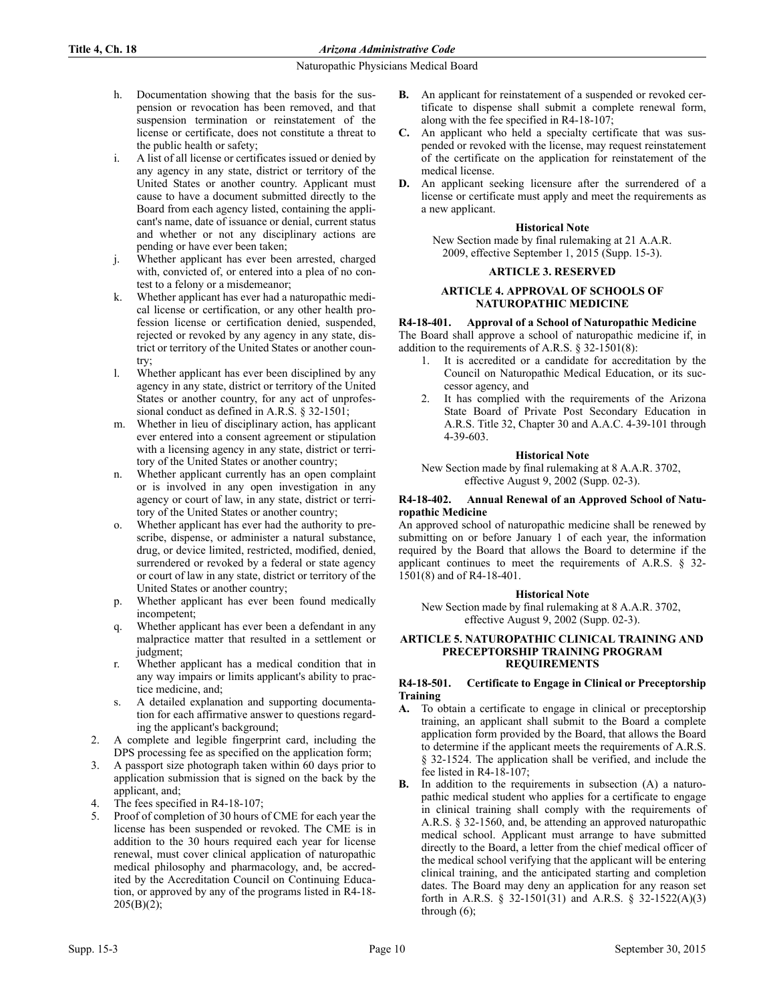- h. Documentation showing that the basis for the suspension or revocation has been removed, and that suspension termination or reinstatement of the license or certificate, does not constitute a threat to the public health or safety;
- i. A list of all license or certificates issued or denied by any agency in any state, district or territory of the United States or another country. Applicant must cause to have a document submitted directly to the Board from each agency listed, containing the applicant's name, date of issuance or denial, current status and whether or not any disciplinary actions are pending or have ever been taken;
- j. Whether applicant has ever been arrested, charged with, convicted of, or entered into a plea of no contest to a felony or a misdemeanor;
- k. Whether applicant has ever had a naturopathic medical license or certification, or any other health profession license or certification denied, suspended, rejected or revoked by any agency in any state, district or territory of the United States or another country;
- l. Whether applicant has ever been disciplined by any agency in any state, district or territory of the United States or another country, for any act of unprofessional conduct as defined in A.R.S. § 32-1501;
- m. Whether in lieu of disciplinary action, has applicant ever entered into a consent agreement or stipulation with a licensing agency in any state, district or territory of the United States or another country;
- n. Whether applicant currently has an open complaint or is involved in any open investigation in any agency or court of law, in any state, district or territory of the United States or another country;
- o. Whether applicant has ever had the authority to prescribe, dispense, or administer a natural substance, drug, or device limited, restricted, modified, denied, surrendered or revoked by a federal or state agency or court of law in any state, district or territory of the United States or another country;
- p. Whether applicant has ever been found medically incompetent;
- q. Whether applicant has ever been a defendant in any malpractice matter that resulted in a settlement or judgment;
- r. Whether applicant has a medical condition that in any way impairs or limits applicant's ability to practice medicine, and;
- s. A detailed explanation and supporting documentation for each affirmative answer to questions regarding the applicant's background;
- 2. A complete and legible fingerprint card, including the DPS processing fee as specified on the application form;
- 3. A passport size photograph taken within 60 days prior to application submission that is signed on the back by the applicant, and;
- The fees specified in R4-18-107;
- 5. Proof of completion of 30 hours of CME for each year the license has been suspended or revoked. The CME is in addition to the 30 hours required each year for license renewal, must cover clinical application of naturopathic medical philosophy and pharmacology, and, be accredited by the Accreditation Council on Continuing Education, or approved by any of the programs listed in R4-18-  $205(B)(2);$
- **B.** An applicant for reinstatement of a suspended or revoked certificate to dispense shall submit a complete renewal form, along with the fee specified in R4-18-107;
- **C.** An applicant who held a specialty certificate that was suspended or revoked with the license, may request reinstatement of the certificate on the application for reinstatement of the medical license.
- **D.** An applicant seeking licensure after the surrendered of a license or certificate must apply and meet the requirements as a new applicant.

### **Historical Note**

New Section made by final rulemaking at 21 A.A.R. 2009, effective September 1, 2015 (Supp. 15-3).

#### **ARTICLE 3. RESERVED**

## **ARTICLE 4. APPROVAL OF SCHOOLS OF NATUROPATHIC MEDICINE**

### **R4-18-401. Approval of a School of Naturopathic Medicine**

The Board shall approve a school of naturopathic medicine if, in addition to the requirements of A.R.S. § 32-1501(8):

- 1. It is accredited or a candidate for accreditation by the Council on Naturopathic Medical Education, or its successor agency, and
- 2. It has complied with the requirements of the Arizona State Board of Private Post Secondary Education in A.R.S. Title 32, Chapter 30 and A.A.C. 4-39-101 through 4-39-603.

#### **Historical Note**

New Section made by final rulemaking at 8 A.A.R. 3702, effective August 9, 2002 (Supp. 02-3).

#### **R4-18-402. Annual Renewal of an Approved School of Naturopathic Medicine**

An approved school of naturopathic medicine shall be renewed by submitting on or before January 1 of each year, the information required by the Board that allows the Board to determine if the applicant continues to meet the requirements of A.R.S. § 32- 1501(8) and of R4-18-401.

### **Historical Note**

New Section made by final rulemaking at 8 A.A.R. 3702, effective August 9, 2002 (Supp. 02-3).

### **ARTICLE 5. NATUROPATHIC CLINICAL TRAINING AND PRECEPTORSHIP TRAINING PROGRAM REQUIREMENTS**

### **R4-18-501. Certificate to Engage in Clinical or Preceptorship Training**

- **A.** To obtain a certificate to engage in clinical or preceptorship training, an applicant shall submit to the Board a complete application form provided by the Board, that allows the Board to determine if the applicant meets the requirements of A.R.S. § 32-1524. The application shall be verified, and include the fee listed in R4-18-107;
- **B.** In addition to the requirements in subsection (A) a naturopathic medical student who applies for a certificate to engage in clinical training shall comply with the requirements of A.R.S. § 32-1560, and, be attending an approved naturopathic medical school. Applicant must arrange to have submitted directly to the Board, a letter from the chief medical officer of the medical school verifying that the applicant will be entering clinical training, and the anticipated starting and completion dates. The Board may deny an application for any reason set forth in A.R.S. § 32-1501(31) and A.R.S. § 32-1522(A)(3) through (6);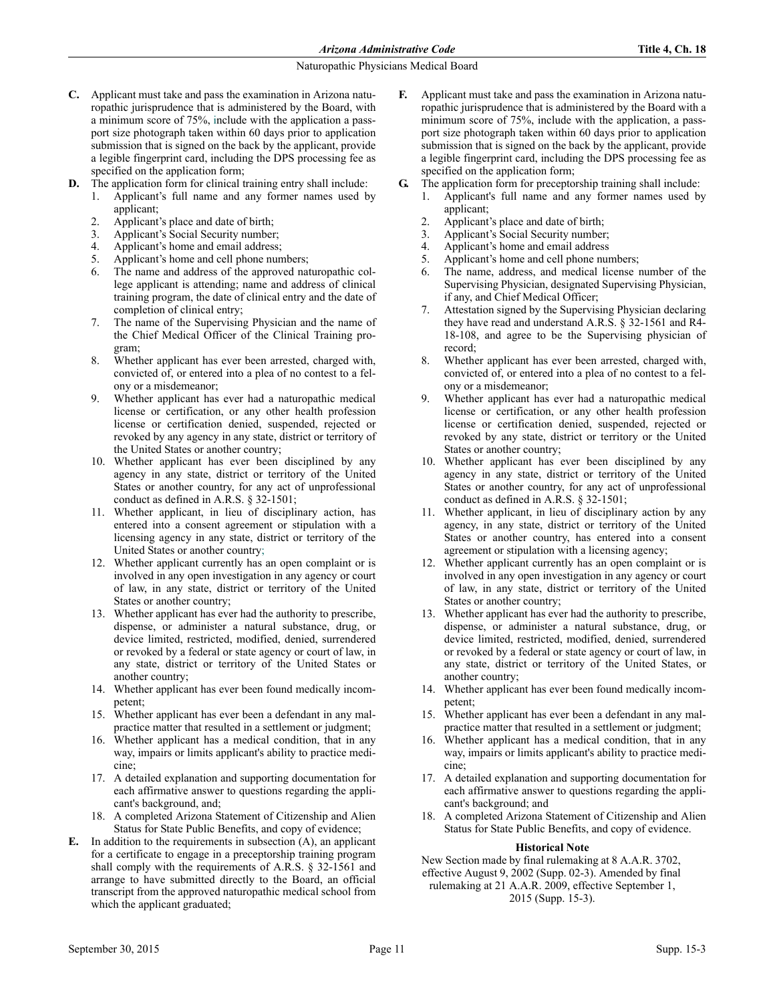- **C.** Applicant must take and pass the examination in Arizona naturopathic jurisprudence that is administered by the Board, with a minimum score of 75%, include with the application a passport size photograph taken within 60 days prior to application submission that is signed on the back by the applicant, provide a legible fingerprint card, including the DPS processing fee as specified on the application form;
- **D.** The application form for clinical training entry shall include:
	- 1. Applicant's full name and any former names used by applicant;
	- 2. Applicant's place and date of birth;
	- 3. Applicant's Social Security number;
	- 4. Applicant's home and email address;
	- 5. Applicant's home and cell phone numbers;
	- 6. The name and address of the approved naturopathic college applicant is attending; name and address of clinical training program, the date of clinical entry and the date of completion of clinical entry;
	- 7. The name of the Supervising Physician and the name of the Chief Medical Officer of the Clinical Training program;
	- 8. Whether applicant has ever been arrested, charged with, convicted of, or entered into a plea of no contest to a felony or a misdemeanor;
	- 9. Whether applicant has ever had a naturopathic medical license or certification, or any other health profession license or certification denied, suspended, rejected or revoked by any agency in any state, district or territory of the United States or another country;
	- 10. Whether applicant has ever been disciplined by any agency in any state, district or territory of the United States or another country, for any act of unprofessional conduct as defined in A.R.S. § 32-1501;
	- 11. Whether applicant, in lieu of disciplinary action, has entered into a consent agreement or stipulation with a licensing agency in any state, district or territory of the United States or another country;
	- 12. Whether applicant currently has an open complaint or is involved in any open investigation in any agency or court of law, in any state, district or territory of the United States or another country;
	- 13. Whether applicant has ever had the authority to prescribe, dispense, or administer a natural substance, drug, or device limited, restricted, modified, denied, surrendered or revoked by a federal or state agency or court of law, in any state, district or territory of the United States or another country;
	- 14. Whether applicant has ever been found medically incompetent;
	- 15. Whether applicant has ever been a defendant in any malpractice matter that resulted in a settlement or judgment;
	- 16. Whether applicant has a medical condition, that in any way, impairs or limits applicant's ability to practice medicine;
	- 17. A detailed explanation and supporting documentation for each affirmative answer to questions regarding the applicant's background, and;
	- 18. A completed Arizona Statement of Citizenship and Alien Status for State Public Benefits, and copy of evidence;
- **E.** In addition to the requirements in subsection (A), an applicant for a certificate to engage in a preceptorship training program shall comply with the requirements of A.R.S. § 32-1561 and arrange to have submitted directly to the Board, an official transcript from the approved naturopathic medical school from which the applicant graduated;
- **F.** Applicant must take and pass the examination in Arizona naturopathic jurisprudence that is administered by the Board with a minimum score of 75%, include with the application, a passport size photograph taken within 60 days prior to application submission that is signed on the back by the applicant, provide a legible fingerprint card, including the DPS processing fee as specified on the application form;
- **G.** The application form for preceptorship training shall include:
	- 1. Applicant's full name and any former names used by applicant;
	- 2. Applicant's place and date of birth;
	- 3. Applicant's Social Security number;
	- 4. Applicant's home and email address
	- 5. Applicant's home and cell phone numbers;
	- 6. The name, address, and medical license number of the Supervising Physician, designated Supervising Physician, if any, and Chief Medical Officer;
	- Attestation signed by the Supervising Physician declaring they have read and understand A.R.S. § 32-1561 and R4- 18-108, and agree to be the Supervising physician of record;
	- 8. Whether applicant has ever been arrested, charged with, convicted of, or entered into a plea of no contest to a felony or a misdemeanor;
	- 9. Whether applicant has ever had a naturopathic medical license or certification, or any other health profession license or certification denied, suspended, rejected or revoked by any state, district or territory or the United States or another country;
	- 10. Whether applicant has ever been disciplined by any agency in any state, district or territory of the United States or another country, for any act of unprofessional conduct as defined in A.R.S. § 32-1501;
	- 11. Whether applicant, in lieu of disciplinary action by any agency, in any state, district or territory of the United States or another country, has entered into a consent agreement or stipulation with a licensing agency;
	- 12. Whether applicant currently has an open complaint or is involved in any open investigation in any agency or court of law, in any state, district or territory of the United States or another country;
	- 13. Whether applicant has ever had the authority to prescribe, dispense, or administer a natural substance, drug, or device limited, restricted, modified, denied, surrendered or revoked by a federal or state agency or court of law, in any state, district or territory of the United States, or another country;
	- 14. Whether applicant has ever been found medically incompetent;
	- 15. Whether applicant has ever been a defendant in any malpractice matter that resulted in a settlement or judgment;
	- 16. Whether applicant has a medical condition, that in any way, impairs or limits applicant's ability to practice medicine;
	- 17. A detailed explanation and supporting documentation for each affirmative answer to questions regarding the applicant's background; and
	- 18. A completed Arizona Statement of Citizenship and Alien Status for State Public Benefits, and copy of evidence.

### **Historical Note**

New Section made by final rulemaking at 8 A.A.R. 3702, effective August 9, 2002 (Supp. 02-3). Amended by final rulemaking at 21 A.A.R. 2009, effective September 1, 2015 (Supp. 15-3).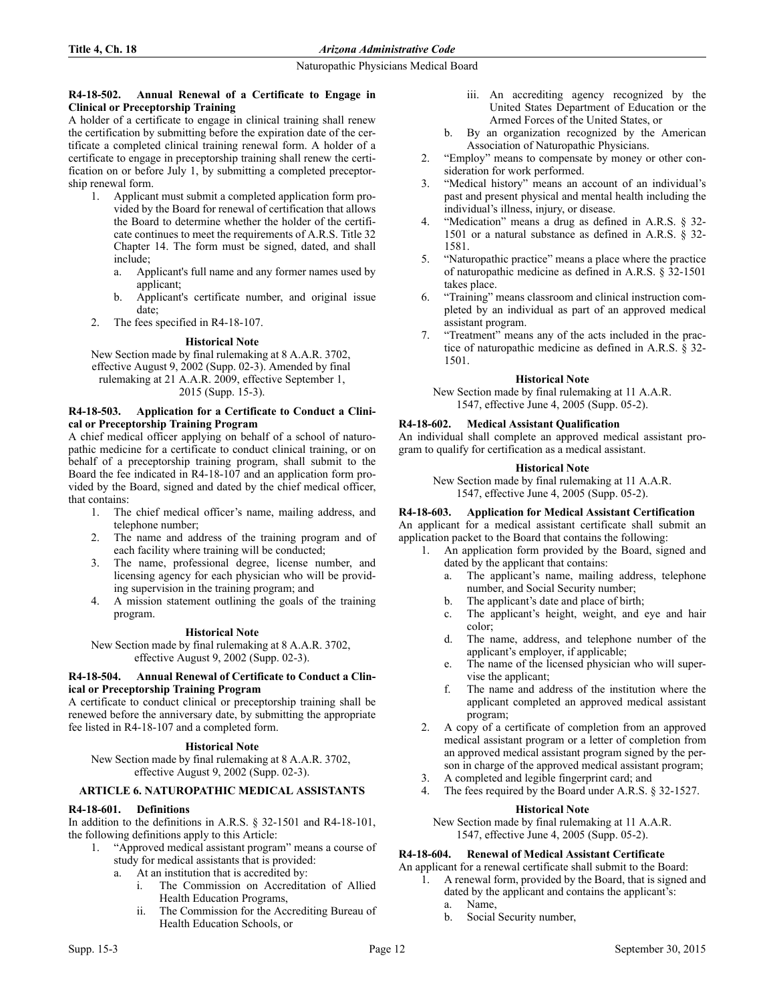### **R4-18-502. Annual Renewal of a Certificate to Engage in Clinical or Preceptorship Training**

A holder of a certificate to engage in clinical training shall renew the certification by submitting before the expiration date of the certificate a completed clinical training renewal form. A holder of a certificate to engage in preceptorship training shall renew the certification on or before July 1, by submitting a completed preceptorship renewal form.

- 1. Applicant must submit a completed application form provided by the Board for renewal of certification that allows the Board to determine whether the holder of the certificate continues to meet the requirements of A.R.S. Title 32 Chapter 14. The form must be signed, dated, and shall include;
	- a. Applicant's full name and any former names used by applicant;
	- b. Applicant's certificate number, and original issue date;
- 2. The fees specified in R4-18-107.

## **Historical Note**

New Section made by final rulemaking at 8 A.A.R. 3702, effective August 9, 2002 (Supp. 02-3). Amended by final rulemaking at 21 A.A.R. 2009, effective September 1, 2015 (Supp. 15-3).

### **R4-18-503. Application for a Certificate to Conduct a Clinical or Preceptorship Training Program**

A chief medical officer applying on behalf of a school of naturopathic medicine for a certificate to conduct clinical training, or on behalf of a preceptorship training program, shall submit to the Board the fee indicated in R4-18-107 and an application form provided by the Board, signed and dated by the chief medical officer, that contains:

- 1. The chief medical officer's name, mailing address, and telephone number;
- 2. The name and address of the training program and of each facility where training will be conducted;
- 3. The name, professional degree, license number, and licensing agency for each physician who will be providing supervision in the training program; and
- 4. A mission statement outlining the goals of the training program.

# **Historical Note**

New Section made by final rulemaking at 8 A.A.R. 3702, effective August 9, 2002 (Supp. 02-3).

### **R4-18-504. Annual Renewal of Certificate to Conduct a Clinical or Preceptorship Training Program**

A certificate to conduct clinical or preceptorship training shall be renewed before the anniversary date, by submitting the appropriate fee listed in R4-18-107 and a completed form.

# **Historical Note**

New Section made by final rulemaking at 8 A.A.R. 3702, effective August 9, 2002 (Supp. 02-3).

# **ARTICLE 6. NATUROPATHIC MEDICAL ASSISTANTS**

# **R4-18-601. Definitions**

In addition to the definitions in A.R.S. § 32-1501 and R4-18-101, the following definitions apply to this Article:

- 1. "Approved medical assistant program" means a course of study for medical assistants that is provided:
	- a. At an institution that is accredited by:
		- i. The Commission on Accreditation of Allied Health Education Programs,
		- ii. The Commission for the Accrediting Bureau of Health Education Schools, or
- iii. An accrediting agency recognized by the United States Department of Education or the Armed Forces of the United States, or
- b. By an organization recognized by the American Association of Naturopathic Physicians.
- 2. "Employ" means to compensate by money or other consideration for work performed.
- 3. "Medical history" means an account of an individual's past and present physical and mental health including the individual's illness, injury, or disease.
- 4. "Medication" means a drug as defined in A.R.S. § 32- 1501 or a natural substance as defined in A.R.S. § 32- 1581.
- 5. "Naturopathic practice" means a place where the practice of naturopathic medicine as defined in A.R.S. § 32-1501 takes place.
- 6. "Training" means classroom and clinical instruction completed by an individual as part of an approved medical assistant program.
- 7. "Treatment" means any of the acts included in the practice of naturopathic medicine as defined in A.R.S. § 32- 1501.

## **Historical Note**

New Section made by final rulemaking at 11 A.A.R. 1547, effective June 4, 2005 (Supp. 05-2).

# **R4-18-602. Medical Assistant Qualification**

An individual shall complete an approved medical assistant program to qualify for certification as a medical assistant.

# **Historical Note**

New Section made by final rulemaking at 11 A.A.R. 1547, effective June 4, 2005 (Supp. 05-2).

# **R4-18-603. Application for Medical Assistant Certification**

An applicant for a medical assistant certificate shall submit an application packet to the Board that contains the following:

- 1. An application form provided by the Board, signed and dated by the applicant that contains:
	- a. The applicant's name, mailing address, telephone number, and Social Security number;
	- b. The applicant's date and place of birth;
	- c. The applicant's height, weight, and eye and hair color;
	- d. The name, address, and telephone number of the applicant's employer, if applicable;
	- e. The name of the licensed physician who will supervise the applicant;
	- f. The name and address of the institution where the applicant completed an approved medical assistant program;
- 2. A copy of a certificate of completion from an approved medical assistant program or a letter of completion from an approved medical assistant program signed by the person in charge of the approved medical assistant program;
- 3. A completed and legible fingerprint card; and
- 4. The fees required by the Board under A.R.S. § 32-1527.

### **Historical Note**

New Section made by final rulemaking at 11 A.A.R. 1547, effective June 4, 2005 (Supp. 05-2).

# **R4-18-604. Renewal of Medical Assistant Certificate**

An applicant for a renewal certificate shall submit to the Board:

- 1. A renewal form, provided by the Board, that is signed and dated by the applicant and contains the applicant's:
	- a. Name,
	- b. Social Security number,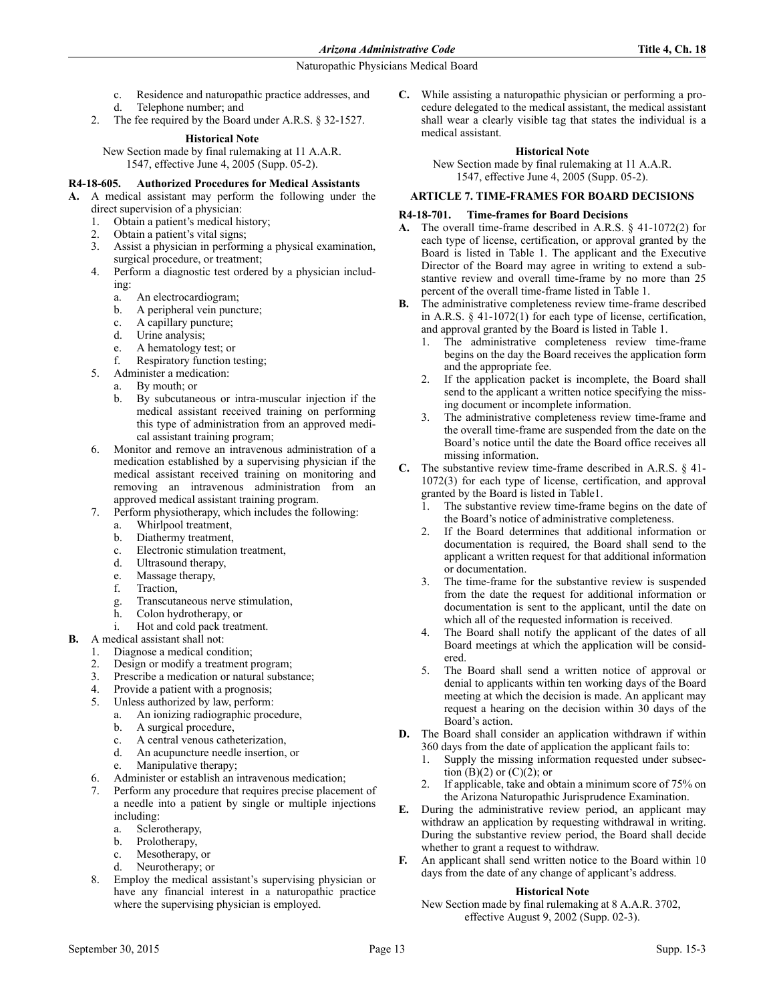- c. Residence and naturopathic practice addresses, and
- d. Telephone number; and
- 2. The fee required by the Board under A.R.S. § 32-1527.

## **Historical Note**

New Section made by final rulemaking at 11 A.A.R. 1547, effective June 4, 2005 (Supp. 05-2).

## **R4-18-605. Authorized Procedures for Medical Assistants**

**A.** A medical assistant may perform the following under the

- direct supervision of a physician:<br>1. Obtain a patient's medical hi Obtain a patient's medical history;
- 2. Obtain a patient's vital signs;
- 3. Assist a physician in performing a physical examination, surgical procedure, or treatment;
- 4. Perform a diagnostic test ordered by a physician including:
	- a. An electrocardiogram;
	- b. A peripheral vein puncture;
	- c. A capillary puncture;
	- d. Urine analysis;
	- e. A hematology test; or
	- Respiratory function testing;
- 5. Administer a medication:
	- a. By mouth; or
		- b. By subcutaneous or intra-muscular injection if the medical assistant received training on performing this type of administration from an approved medical assistant training program;
- 6. Monitor and remove an intravenous administration of a medication established by a supervising physician if the medical assistant received training on monitoring and removing an intravenous administration from an approved medical assistant training program.
- 7. Perform physiotherapy, which includes the following:
	- a. Whirlpool treatment,
	- b. Diathermy treatment,
	- c. Electronic stimulation treatment,
	- d. Ultrasound therapy,
	- e. Massage therapy,
	- f. Traction,
	- g. Transcutaneous nerve stimulation,
	- h. Colon hydrotherapy, or
	- i. Hot and cold pack treatment.
- **B.** A medical assistant shall not:
	- 1. Diagnose a medical condition;
	- 2. Design or modify a treatment program;
	- 3. Prescribe a medication or natural substance;
	- 4. Provide a patient with a prognosis;
	- 5. Unless authorized by law, perform:
		- a. An ionizing radiographic procedure,
		- b. A surgical procedure,
		- c. A central venous catheterization,
		- d. An acupuncture needle insertion, or
		- e. Manipulative therapy;
	- Administer or establish an intravenous medication; 7. Perform any procedure that requires precise placement of a needle into a patient by single or multiple injections
		- including:
		- a. Sclerotherapy,
		- b. Prolotherapy,
		- c. Mesotherapy, or
		- d. Neurotherapy; or
	- 8. Employ the medical assistant's supervising physician or have any financial interest in a naturopathic practice where the supervising physician is employed.

**C.** While assisting a naturopathic physician or performing a procedure delegated to the medical assistant, the medical assistant shall wear a clearly visible tag that states the individual is a medical assistant.

## **Historical Note**

New Section made by final rulemaking at 11 A.A.R. 1547, effective June 4, 2005 (Supp. 05-2).

# **ARTICLE 7. TIME-FRAMES FOR BOARD DECISIONS**

## **R4-18-701. Time-frames for Board Decisions**

- **A.** The overall time-frame described in A.R.S. § 41-1072(2) for each type of license, certification, or approval granted by the Board is listed in Table 1. The applicant and the Executive Director of the Board may agree in writing to extend a substantive review and overall time-frame by no more than 25 percent of the overall time-frame listed in Table 1.
- **B.** The administrative completeness review time-frame described in A.R.S. § 41-1072(1) for each type of license, certification, and approval granted by the Board is listed in Table 1.
	- 1. The administrative completeness review time-frame begins on the day the Board receives the application form and the appropriate fee.
	- 2. If the application packet is incomplete, the Board shall send to the applicant a written notice specifying the missing document or incomplete information.
	- The administrative completeness review time-frame and the overall time-frame are suspended from the date on the Board's notice until the date the Board office receives all missing information.
- **C.** The substantive review time-frame described in A.R.S. § 41- 1072(3) for each type of license, certification, and approval granted by the Board is listed in Table1.
	- 1. The substantive review time-frame begins on the date of the Board's notice of administrative completeness.
	- 2. If the Board determines that additional information or documentation is required, the Board shall send to the applicant a written request for that additional information or documentation.
	- 3. The time-frame for the substantive review is suspended from the date the request for additional information or documentation is sent to the applicant, until the date on which all of the requested information is received.
	- 4. The Board shall notify the applicant of the dates of all Board meetings at which the application will be considered.
	- 5. The Board shall send a written notice of approval or denial to applicants within ten working days of the Board meeting at which the decision is made. An applicant may request a hearing on the decision within 30 days of the Board's action.
- **D.** The Board shall consider an application withdrawn if within 360 days from the date of application the applicant fails to:
	- 1. Supply the missing information requested under subsection  $(B)(2)$  or  $(C)(2)$ ; or
	- If applicable, take and obtain a minimum score of 75% on the Arizona Naturopathic Jurisprudence Examination.
- **E.** During the administrative review period, an applicant may withdraw an application by requesting withdrawal in writing. During the substantive review period, the Board shall decide whether to grant a request to withdraw.
- **F.** An applicant shall send written notice to the Board within 10 days from the date of any change of applicant's address.

### **Historical Note**

New Section made by final rulemaking at 8 A.A.R. 3702, effective August 9, 2002 (Supp. 02-3).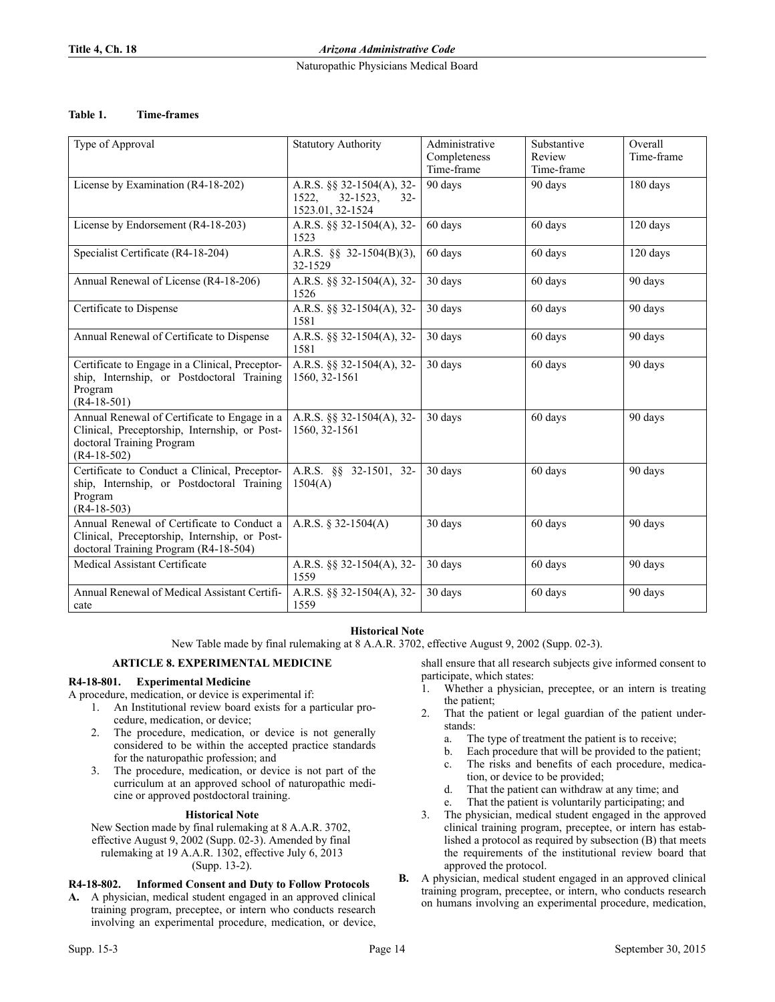**Title 4, Ch. 18** *Arizona Administrative Code*

## Naturopathic Physicians Medical Board

## **Table 1. Time-frames**

| Type of Approval                                                                                                                            | <b>Statutory Authority</b>                                                        | Administrative<br>Completeness<br>Time-frame | Substantive<br>Review<br>Time-frame | Overall<br>Time-frame |
|---------------------------------------------------------------------------------------------------------------------------------------------|-----------------------------------------------------------------------------------|----------------------------------------------|-------------------------------------|-----------------------|
| License by Examination (R4-18-202)                                                                                                          | A.R.S. §§ 32-1504(A), 32-<br>1522,<br>$32 - 1523$ ,<br>$32 -$<br>1523.01, 32-1524 | 90 days                                      | 90 days                             | 180 days              |
| License by Endorsement (R4-18-203)                                                                                                          | A.R.S. §§ 32-1504(A), 32-<br>1523                                                 | 60 days                                      | 60 days                             | 120 days              |
| Specialist Certificate (R4-18-204)                                                                                                          | A.R.S. $\S\S$ 32-1504(B)(3),<br>32-1529                                           | 60 days                                      | 60 days                             | 120 days              |
| Annual Renewal of License (R4-18-206)                                                                                                       | A.R.S. §§ 32-1504(A), 32-<br>1526                                                 | 30 days                                      | 60 days                             | 90 days               |
| Certificate to Dispense                                                                                                                     | A.R.S. §§ 32-1504(A), 32-<br>1581                                                 | 30 days                                      | 60 days                             | 90 days               |
| Annual Renewal of Certificate to Dispense                                                                                                   | A.R.S. §§ 32-1504(A), 32-<br>1581                                                 | 30 days                                      | 60 days                             | 90 days               |
| Certificate to Engage in a Clinical, Preceptor-<br>ship, Internship, or Postdoctoral Training<br>Program<br>$(R4-18-501)$                   | A.R.S. §§ 32-1504(A), 32-<br>1560, 32-1561                                        | 30 days                                      | 60 days                             | 90 days               |
| Annual Renewal of Certificate to Engage in a<br>Clinical, Preceptorship, Internship, or Post-<br>doctoral Training Program<br>$(R4-18-502)$ | A.R.S. §§ 32-1504(A), 32-<br>1560, 32-1561                                        | 30 days                                      | 60 days                             | 90 days               |
| Certificate to Conduct a Clinical, Preceptor-<br>ship, Internship, or Postdoctoral Training<br>Program<br>$(R4-18-503)$                     | A.R.S. §§ 32-1501, 32-<br>1504(A)                                                 | 30 days                                      | 60 days                             | 90 days               |
| Annual Renewal of Certificate to Conduct a<br>Clinical, Preceptorship, Internship, or Post-<br>doctoral Training Program (R4-18-504)        | A.R.S. § 32-1504(A)                                                               | 30 days                                      | 60 days                             | 90 days               |
| Medical Assistant Certificate                                                                                                               | A.R.S. §§ 32-1504(A), 32-<br>1559                                                 | 30 days                                      | 60 days                             | 90 days               |
| Annual Renewal of Medical Assistant Certifi-<br>cate                                                                                        | A.R.S. §§ 32-1504(A), 32-<br>1559                                                 | 30 days                                      | 60 days                             | 90 days               |

# **Historical Note**

New Table made by final rulemaking at 8 A.A.R. 3702, effective August 9, 2002 (Supp. 02-3).

### **ARTICLE 8. EXPERIMENTAL MEDICINE**

# **R4-18-801. Experimental Medicine**

A procedure, medication, or device is experimental if:

- 1. An Institutional review board exists for a particular procedure, medication, or device;
- 2. The procedure, medication, or device is not generally considered to be within the accepted practice standards for the naturopathic profession; and
- 3. The procedure, medication, or device is not part of the curriculum at an approved school of naturopathic medicine or approved postdoctoral training.

### **Historical Note**

New Section made by final rulemaking at 8 A.A.R. 3702, effective August 9, 2002 (Supp. 02-3). Amended by final rulemaking at 19 A.A.R. 1302, effective July 6, 2013 (Supp. 13-2).

# **R4-18-802. Informed Consent and Duty to Follow Protocols**

**A.** A physician, medical student engaged in an approved clinical training program, preceptee, or intern who conducts research involving an experimental procedure, medication, or device, shall ensure that all research subjects give informed consent to participate, which states:

- 1. Whether a physician, preceptee, or an intern is treating the patient;
- 2. That the patient or legal guardian of the patient understands:
	- a. The type of treatment the patient is to receive;
	- b. Each procedure that will be provided to the patient;
	- c. The risks and benefits of each procedure, medication, or device to be provided;
	- d. That the patient can withdraw at any time; and
	- e. That the patient is voluntarily participating; and
- 3. The physician, medical student engaged in the approved clinical training program, preceptee, or intern has established a protocol as required by subsection (B) that meets the requirements of the institutional review board that approved the protocol.
- **B.** A physician, medical student engaged in an approved clinical training program, preceptee, or intern, who conducts research on humans involving an experimental procedure, medication,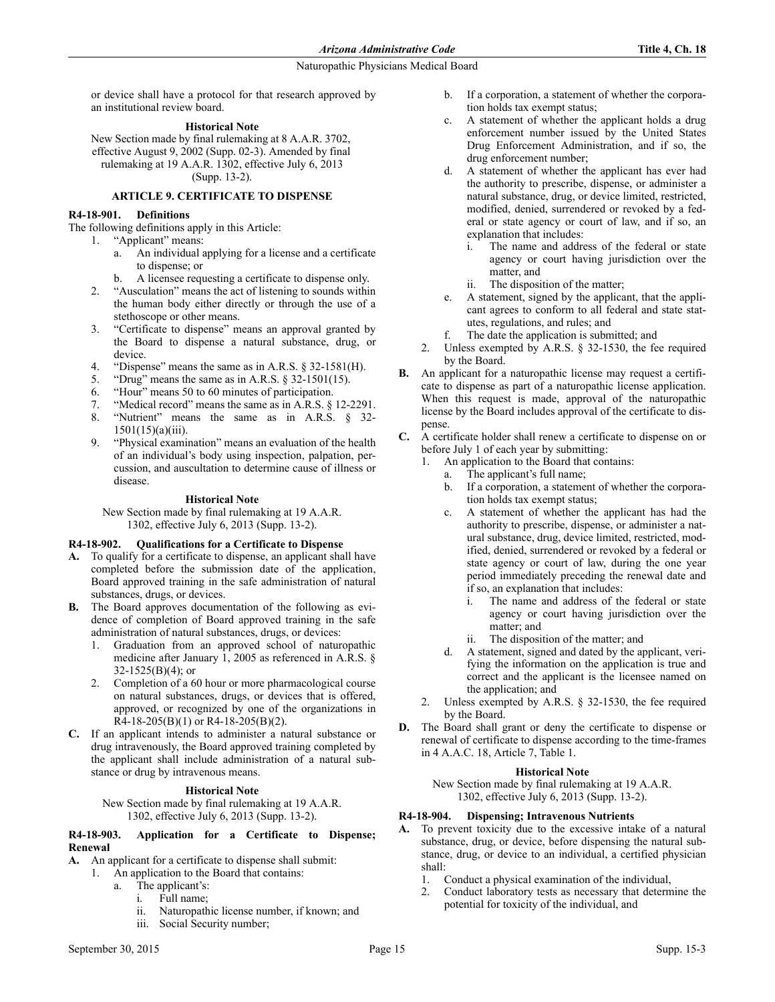or device shall have a protocol for that research approved by an institutional review board.

### **Historical Note**

New Section made by final rulemaking at 8 A.A.R. 3702, effective August 9, 2002 (Supp. 02-3). Amended by final rulemaking at 19 A.A.R. 1302, effective July 6, 2013 (Supp. 13-2).

## **ARTICLE 9. CERTIFICATE TO DISPENSE**

## **R4-18-901. Definitions**

The following definitions apply in this Article:

- 1. "Applicant" means:
	- a. An individual applying for a license and a certificate to dispense; or
	- b. A licensee requesting a certificate to dispense only.
	- 2. "Ausculation" means the act of listening to sounds within the human body either directly or through the use of a stethoscope or other means.
	- 3. "Certificate to dispense" means an approval granted by the Board to dispense a natural substance, drug, or device.
	- 4. "Dispense" means the same as in A.R.S. § 32-1581(H).
	- 5. "Drug" means the same as in A.R.S. § 32-1501(15).
	- 6. "Hour" means 50 to 60 minutes of participation.
	- 7. "Medical record" means the same as in A.R.S. § 12-2291.
	- 8. "Nutrient" means the same as in A.R.S. § 32- 1501(15)(a)(iii).
	- 9. "Physical examination" means an evaluation of the health of an individual's body using inspection, palpation, percussion, and auscultation to determine cause of illness or disease.

### **Historical Note**

New Section made by final rulemaking at 19 A.A.R. 1302, effective July 6, 2013 (Supp. 13-2).

### **R4-18-902. Qualifications for a Certificate to Dispense**

- **A.** To qualify for a certificate to dispense, an applicant shall have completed before the submission date of the application, Board approved training in the safe administration of natural substances, drugs, or devices.
- **B.** The Board approves documentation of the following as evidence of completion of Board approved training in the safe administration of natural substances, drugs, or devices:
	- 1. Graduation from an approved school of naturopathic medicine after January 1, 2005 as referenced in A.R.S. §  $32-1525(B)(4)$ ; or
	- 2. Completion of a 60 hour or more pharmacological course on natural substances, drugs, or devices that is offered, approved, or recognized by one of the organizations in  $R4-18-205(B)(1)$  or  $R4-18-205(B)(2)$ .
- **C.** If an applicant intends to administer a natural substance or drug intravenously, the Board approved training completed by the applicant shall include administration of a natural substance or drug by intravenous means.

#### **Historical Note**

New Section made by final rulemaking at 19 A.A.R. 1302, effective July 6, 2013 (Supp. 13-2).

### **R4-18-903. Application for a Certificate to Dispense; Renewal**

### **A.** An applicant for a certificate to dispense shall submit:

- 1. An application to the Board that contains:
	- a. The applicant's:
		- i. Full name;
		- ii. Naturopathic license number, if known; and
		- iii. Social Security number;
- b. If a corporation, a statement of whether the corporation holds tax exempt status;
- c. A statement of whether the applicant holds a drug enforcement number issued by the United States Drug Enforcement Administration, and if so, the drug enforcement number;
- d. A statement of whether the applicant has ever had the authority to prescribe, dispense, or administer a natural substance, drug, or device limited, restricted, modified, denied, surrendered or revoked by a federal or state agency or court of law, and if so, an explanation that includes:
	- i. The name and address of the federal or state agency or court having jurisdiction over the matter, and
	- ii. The disposition of the matter;
- e. A statement, signed by the applicant, that the applicant agrees to conform to all federal and state statutes, regulations, and rules; and
- f. The date the application is submitted; and
- 2. Unless exempted by A.R.S. § 32-1530, the fee required by the Board.
- **B.** An applicant for a naturopathic license may request a certificate to dispense as part of a naturopathic license application. When this request is made, approval of the naturopathic license by the Board includes approval of the certificate to dispense.
- **C.** A certificate holder shall renew a certificate to dispense on or before July 1 of each year by submitting:
	- 1. An application to the Board that contains:
		- a. The applicant's full name;
		- b. If a corporation, a statement of whether the corporation holds tax exempt status;
		- c. A statement of whether the applicant has had the authority to prescribe, dispense, or administer a natural substance, drug, device limited, restricted, modified, denied, surrendered or revoked by a federal or state agency or court of law, during the one year period immediately preceding the renewal date and if so, an explanation that includes:
			- i. The name and address of the federal or state agency or court having jurisdiction over the matter; and
			- ii. The disposition of the matter; and
		- d. A statement, signed and dated by the applicant, verifying the information on the application is true and correct and the applicant is the licensee named on the application; and
	- 2. Unless exempted by A.R.S. § 32-1530, the fee required by the Board.
- **D.** The Board shall grant or deny the certificate to dispense or renewal of certificate to dispense according to the time-frames in 4 A.A.C. 18, Article 7, Table 1.

#### **Historical Note**

New Section made by final rulemaking at 19 A.A.R. 1302, effective July 6, 2013 (Supp. 13-2).

### **R4-18-904. Dispensing; Intravenous Nutrients**

- **A.** To prevent toxicity due to the excessive intake of a natural substance, drug, or device, before dispensing the natural substance, drug, or device to an individual, a certified physician shall:
	- 1. Conduct a physical examination of the individual,
	- 2. Conduct laboratory tests as necessary that determine the potential for toxicity of the individual, and